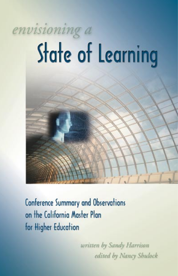# envisioning a **State of Learning**



written by Sandy Harrison edited by Nancy Shulock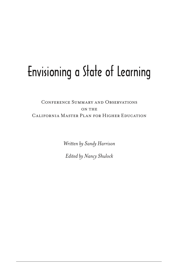# Envisioning a State of Learning

# Conference Summary and Observations ON THE California Master Plan for Higher Education

*Written by Sandy Harrison*

*Edited by Nancy Shulock*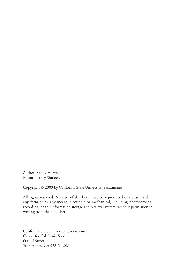Author: Sandy Harrison Editor: Nancy Shulock

Copyright © 2003 by California State University, Sacramento

All rights reserved. No part of this book may be reproduced or transmitted in any form or by any means, electronic or mechanical, including photocopying, recording, or any information storage and retrieval system, without permission in writing from the publisher.

California State University, Sacramento Center for California Studies 6000 J Street Sacramento, CA 95815-6081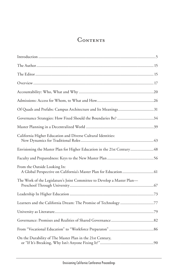# **CONTENTS**

| Of Quads and Prefabs: Campus Architecture and Its Meanings31            |
|-------------------------------------------------------------------------|
| Governance Strategies: How Fixed Should the Boundaries Be? 34           |
|                                                                         |
| California Higher Education and Diverse Cultural Identities:            |
| Envisioning the Master Plan for Higher Education in the 21st Century48  |
|                                                                         |
| From the Outside Looking In:                                            |
| The Work of the Legislature's Joint Committee to Develop a Master Plan- |
|                                                                         |
| Learners and the California Dream: The Promise of Technology 77         |
|                                                                         |
|                                                                         |
|                                                                         |
| On the Durability of The Master Plan in the 21st Century,               |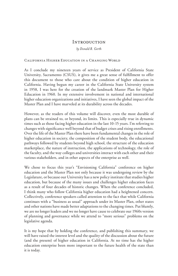# **INTRODUCTION**

*by Donald R. Gerth*

#### California Higher Education in a Changing World

As I conclude my nineteen years of service as President of California State University, Sacramento (CSUS), it gives me a great sense of fulfillment to offer this document to those who care about the condition of higher education in California. Having begun my career in the California State University system in 1958, I was here for the creation of the landmark Master Plan for Higher Education in 1960. In my extensive involvement in national and international higher education organizations and initiatives, I have seen the global impact of the Master Plan and I have marveled at its durability across the decades.

However, as the readers of this volume will discover, even the most durable of plans can be strained to, or beyond, its limits. This is especially true in dynamic times such as those facing higher education in the last 10-15 years. I'm referring to changes with significance well beyond that of budget crises and rising enrollments. Over the life of the Master Plan there have been fundamental changes in the role of higher education in society, the composition of the student body, the educational pathways followed by students beyond high school, the structure of the education marketplace, the nature of instruction, the applications of technology, the role of the faculty, and the way colleges and universities interact with each other and their various stakeholders, and in other aspects of the enterprise as well.

We chose to focus this year's "Envisioning California" conference on higher education and the Master Plan not only because it was undergoing review by the Legislature, or because our University has a new policy institute that studies higher education, but because of the many issues and challenges higher education faces as a result of four decades of historic changes. When the conference concluded, I think many who follow California higher education had a heightened concern. Collectively, conference speakers called attention to the fact that while California continues with a "business as usual" approach under its Master Plan, other states and other nations have made better adaptations to the changing times. Put bluntly, we are no longer leaders and we no longer have cause to celebrate our 1960s version of planning and governance while we attend to "more serious" problems on the legislative agenda.

It is my hope that by holding the conference, and publishing this summary, we will have raised the interest level and the quality of the discussion about the future (and the present) of higher education in California. At no time has the higher education enterprise been more important to the future health of the state than it is today.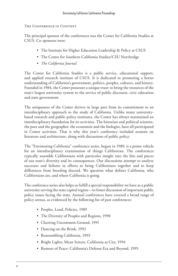# The Conference in Context

The principal sponsor of the conferences was the Center for California Studies at CSUS. Co-sponsors were:

- The Institute for Higher Education Leadership & Policy at CSUS
- The Center for Southern California Studies/CSU Northridge
- *The California Journal*

The Center for California Studies is a public service, educational support, and applied research institute of CSUS. It is dedicated to promoting a better understanding of California's government, politics, peoples, cultures, and history. Founded in 1984, the Center possesses a unique trust: to bring the resources of the state's largest university system to the service of public discourse, civic education and state government.

The uniqueness of the Center derives in large part from its commitment to an interdisciplinary approach to the study of California. Unlike many universitybased research and public policy institutes, the Center has always maintained an interdisciplinary foundation for its activities. The historian and political scientist, the poet and the geographer, the economist and the biologist, have all participated in Center activities. That is why this year's conference included sessions on literature and architecture, along with discussions of public policy.

The "Envisioning California" conference series, begun in 1989, is a prime vehicle for an interdisciplinary examination of things Californian. The conferences typically assemble Californians with particular insight into the bits and pieces of our state's diversity and its consequences. Our discussions attempt to analyze successes and failures in efforts to bring Californians together and to keep differences from breeding discord. We question what defines California, who Californians are, and where California is going.

The conference series also helps us fulfill a special responsibility we have as a public university serving the state capital region—to foster discussion of important public policy issues facing the state. Annual conferences have covered a broad range of policy arenas, as evidenced by the following list of past conferences:

- Peoples, Land, Policies, 1989
- The Diversity of Peoples and Regions, 1990
- Charting Uncommon Ground, 1991
- Dancing on the Brink, 1992
- Reassembling California, 1993
- Bright Lights, Mean Streets: California as City, 1994
- Rumors of Peace: California's Defense Era and Beyond, 1995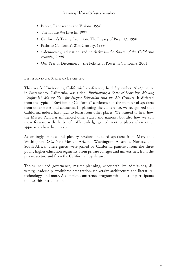- People, Landscapes and Visions, 1996
- The House We Live In, 1997
- California's Taxing Evolution: The Legacy of Prop. 13, 1998
- Paths to California's 21st Century, 1999
- e-democracy, education and initiatives*—the future of the California republic, 2000*
- Our Year of Disconnect—the Politics of Power in California, 2001

# Envisioning a State of Learning

This year's "Envisioning California" conference, held September 26-27, 2002 in Sacramento, California, was titled: *Envisioning a State of Learning: Moving*  California's Master Plan for Higher Education into the 21<sup>st</sup> Century. It differed from the typical "Envisioning California" conference in the number of speakers from other states and countries. In planning the conference, we recognized that California indeed has much to learn from other places. We wanted to hear how the Master Plan has influenced other states and nations, but also how we can move forward with the benefit of knowledge gained in other places where other approaches have been taken.

Accordingly, panels and plenary sessions included speakers from Maryland, Washington D.C., New Mexico, Arizona, Washington, Australia, Norway, and South Africa. These guests were joined by California panelists from the three public higher education segments, from private colleges and universities, from the private sector, and from the California Legislature.

Topics included governance, master planning, accountability, admissions, diversity, leadership, workforce preparation, university architecture and literature, technology, and more. A complete conference program with a list of participants follows this introduction.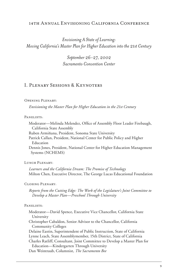# 14th Annual Envisioning California Conference

*Envisioning A State of Learning: Moving California's Master Plan for Higher Education into the 21st Century*

> *September 26-27, 2002 Sacramento Convention Center*

# I. Plenary Sessions & Keynoters

#### Opening Plenary:

*Envisioning the Master Plan for Higher Education in the 21st Century*

#### PANELISTS:

Moderator—Melinda Melendez, Office of Assembly Floor Leader Firebaugh, California State Assembly

Ruben Armiñana, President, Sonoma State University

Patrick Callan, President, National Center for Public Policy and Higher Education

Dennis Jones, President, National Center for Higher Education Management Systems (NCHEMS)

LUNCH PLENARY:

*Learners and the California Dream: The Promise of Technology* Milton Chen, Executive Director, The George Lucas Educational Foundation

#### Closing Plenary:

*Reports from the Cutting Edge: The Work of the Legislature's Joint Committee to Develop a Master Plan—Preschool Through University*

#### PANELISTS.

Moderator—David Spence, Executive Vice Chancellor, California State University Christopher Cabaldon, Senior Advisor to the Chancellor, California Community Colleges Delaine Eastin, Superintendent of Public Instruction, State of California Lynne Leach, State Assemblymember, 15th District, State of California Charles Ratliff, Consultant, Joint Committee to Develop a Master Plan for Education—Kindergarten Through University Dan Weintraub, Columnist, *The Sacramento Bee*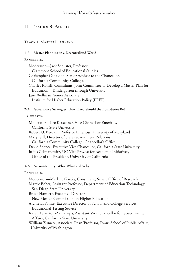# II. Tracks & Panels

# Track 1: Master Planning

# **1-A Master Planning in a Decentralized World**

# PANELISTS:

Moderator—Jack Schuster, Professor, Claremont School of Educational Studies Christopher Cabaldon, Senior Advisor to the Chancellor, California Community Colleges Charles Ratliff, Consultant, Joint Committee to Develop a Master Plan for Education—Kindergarten through University Jane Wellman, Senior Associate, Institute for Higher Education Policy (IHEP)

# **2-A Governance Strategies: How Fixed Should the Boundaries Be?**

# PANELISTS.

Moderator—Lee Kerschner, Vice Chancellor Emeritus, California State University Robert O. Berdahl, Professor Emeritus, University of Maryland Mary Gill, Director of State Government Relations, California Community Colleges Chancellor's Office David Spence, Executive Vice Chancellor, California State University Julius Zelmanowitz, UC Vice Provost for Academic Initiatives, Office of the President, University of California

# **3-A Accountability: Who, What and Why**

#### PANELISTS:

Moderator—Marlene Garcia, Consultant, Senate Office of Research Marcie Bober, Assistant Professor, Department of Education Technology, San Diego State University Bruce Hamlett, Executive Director, New Mexico Commission on Higher Education Archie LaPointe, Executive Director of School and College Services, Educational Testing Service Karen Yelverton-Zamarripa, Assistant Vice Chancellor for Governmental Affairs, California State University William Zumeta, Associate Dean/Professor, Evans School of Public Affairs, University of Washington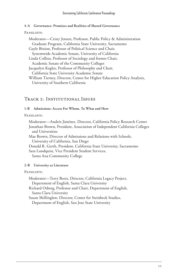# **4-A Governance: Promises and Realities of Shared Governance**

#### PANELISTS.

Moderator—Cristy Jensen, Professor, Public Policy & Administration Graduate Program, California State University, Sacramento Gayle Binion, Professor of Political Science and Chair, Systemwide Academic Senate, University of California Linda Collins, Professor of Sociology and former Chair, Academic Senate of the Community Colleges Jacquelyn Kegley, Professor of Philosophy and Chair, California State University Academic Senate William Tierney, Director, Center for Higher Education Policy Analysis, University of Southern California

# Track 2: Institutional Issues

**1-B Admissions: Access For Whom, To What and How**

PANELISTS:

Moderator—Andrés Jiménez, Director, California Policy Research Center Jonathan Brown, President, Association of Independent California Colleges and Universities

Mae Brown, Director of Admissions and Relations with Schools, University of California, San Diego

Donald R. Gerth, President, California State University, Sacramento Sara Lundquist, Vice President Student Services,

Santa Ana Community College

# **2-B University as Literature**

PANELISTS:

Moderator—Terry Beers, Director, California Legacy Project, Department of English, Santa Clara University

Richard Osberg, Professor and Chair, Department of English, Santa Clara University

Susan Shillinglaw, Director, Center for Steinbeck Studies, Department of English, San Jose State University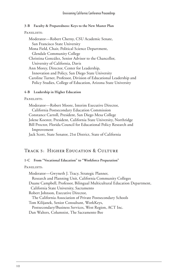# **3-B Faculty & Preparedness: Keys to the New Master Plan**

#### PANELISTS:

Moderator—Robert Cherny, CSU Academic Senate, San Francisco State University Mona Field, Chair, Political Science Department, Glendale Community College Christina González, Senior Advisor to the Chancellor, University of California, Davis Ann Morey, Director, Center for Leadership, Innovation and Policy, San Diego State University Caroline Turner, Professor, Division of Educational Leadership and Policy Studies, College of Education, Arizona State University

# **4-B Leadership in Higher Education**

# PANELISTS:

Moderator—Robert Moore, Interim Executive Director, California Postsecondary Education Commission Constance Carroll, President, San Diego Mesa College Jolene Koester, President, California State University, Northridge Bill Proctor, Florida Council for Educational Policy Research and Improvement Jack Scott, State Senator, 21st District, State of California

# Track 3: Higher Education & Culture

# **1-C From "Vocational Education" to "Workforce Preparation"**

# PANELISTS:

Moderator—Gwyneth J. Tracy, Strategic Planner, Research and Planning Unit, California Community Colleges Duane Campbell, Professor, Bilingual Multicultural Education Department, California State University, Sacramento Robert Johnson, Executive Director, The California Association of Private Postsecondary Schools Tom Kilijanek, Senior Consultant, WorkKeys, Postsecondary/Business Services, West Region, ACT Inc. Dan Walters, Columnist, The Sacramento Bee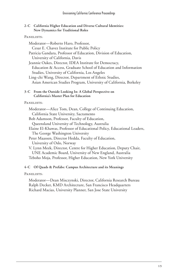# **2-C California Higher Education and Diverse Cultural Identities: New Dynamics for Traditional Roles**

# PANELISTS:

Moderator—Roberto Haro, Professor, Cesar E. Chavez Institute for Public Policy Patricia Gandara, Professor of Education, Division of Education, University of California, Davis Jeannie Oakes, Director, IDEA Institute for Democracy, Education & Access, Graduate School of Education and Information Studies, University of California, Los Angeles Ling-chi Wang, Director, Department of Ethnic Studies, Asian American Studies Program, University of California, Berkeley **3-C From the Outside Looking In: A Global Perspective on California's Master Plan for Education** PANELISTS: Moderator—Alice Tom, Dean, College of Continuing Education, California State University, Sacramento Bob Adamson, Professor, Faculty of Education, Queensland University of Technology, Australia

Elaine El-Khawas, Professor of Educational Policy, Educational Leaders, The George Washington University

Peter Maassen, Director Hedda, Faculty of Education, University of Oslo, Norway

V. Lynn Meek, Director, Centre for Higher Education, Deputy Chair, UNE Academic Board, University of New England, Australia Teboho Moja, Professor, Higher Education, New York University

# **4-C Of Quads & Prefabs: Campus Architecture and its Meanings**

PANELISTS:

Moderator—Dean Misczynski, Director, California Research Bureau Ralph Decker, KMD Architecture, San Francisco Headquarters Richard Macias, University Planner, San Jose State University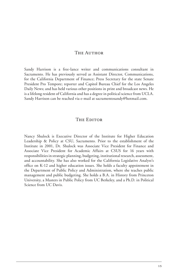# THE AUTHOR

Sandy Harrison is a free-lance writer and communications consultant in Sacramento. He has previously served as Assistant Director, Communications, for the California Department of Finance; Press Secretary for the state Senate President Pro Tempore; reporter and Capitol Bureau Chief for the Los Angeles Daily News; and has held various other positions in print and broadcast news. He is a lifelong resident of California and has a degree in political science from UCLA. Sandy Harrison can be reached via e-mail at sacramentosandy@hotmail.com.

# THE EDITOR

Nancy Shulock is Executive Director of the Institute for Higher Education Leadership & Policy at CSU, Sacramento. Prior to the establishment of the Institute in 2001, Dr. Shulock was Associate Vice President for Finance and Associate Vice President for Academic Affairs at CSUS for 16 years with responsibilities in strategic planning, budgeting, institutional research, assessment, and accountability. She has also worked for the California Legislative Analyst's office on K-12 and higher education issues. She holds a faculty appointment in the Department of Public Policy and Administration, where she teaches public management and public budgeting. She holds a B.A. in History from Princeton University, a Masters in Public Policy from UC Berkeley, and a Ph.D. in Political Science from UC Davis.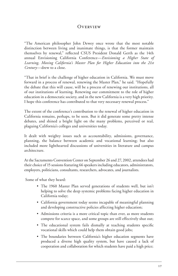# **OVERVIEW**

"The American philosopher John Dewey once wrote that the most notable distinction between living and inanimate things, is that the former maintain themselves by renewal," reflected CSUS President Donald Gerth as the 14th annual Envisioning California Conference—*Envisioning a Higher State of Learning, Moving California's Master Plan for Higher Education into the 21st Century*—drew to a close.

"That in brief is the challenge of higher education in California. We must move forward in a process of renewal, renewing the Master Plan," he said. "Hopefully the debate that this will cause, will be a process of renewing our institutions, all of our institutions of learning. Renewing our commitment to the role of higher education in a democratic society, and in the new California is a very high priority. I hope this conference has contributed to that very necessary renewal process."

The extent of the conference's contribution to the renewal of higher education in California remains, perhaps, to be seen. But it did generate some pretty intense debates, and shined a bright light on the many problems, perceived or real, plaguing California's colleges and universities today.

It dealt with weighty issues such as accountability, admissions, governance, planning, the balance between academic and vocational learning; but also included more lighthearted discussions of universities in literature and campus architecture.

At the Sacramento Convention Center on September 26 and 27, 2002, attendees had their choice of 15 sessions featuring 66 speakers including educators, administrators, employers, politicians, consultants, researchers, advocates, and journalists.

Some of what they heard:

- The 1960 Master Plan served generations of students well, but isn't helping to solve the deep systemic problems facing higher education in California today;
- California government today seems incapable of meaningful planning and developing constructive policies affecting higher education;
- Admissions criteria is a more critical topic than ever, as more students compete for scarce space, and some groups are still effectively shut out;
- The educational system fails dismally at teaching students specific vocational skills which could help them obtain good jobs;
- The boundaries between California's higher education segments have produced a diverse high quality system, but have caused a lack of cooperation and collaboration for which students have paid a high price;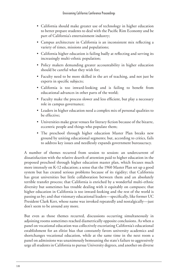- California should make greater use of technology in higher education to better prepare students to deal with the Pacific Rim Economy and be part of California's entertainment industry;
- Campus architecture in California is an inconsistent mix reflecting a variety of times, missions and populations;
- California higher education is failing badly at reflecting and serving its increasingly multi-ethnic population;
- Policy makers demanding greater accountability in higher education should be careful what they wish for;
- Faculty need to be more skilled in the art of teaching, and not just be experts in specific subjects;
- California is too inward-looking and is failing to benefit from educational advances in other parts of the world;
- Faculty make the process slower and less efficient, but play a necessary role in campus governance;
- Leaders in higher education need a complex mix of personal qualities to be effective;
- Universities make great venues for literary fiction because of the bizarre, eccentric people and things who populate them;
- The preschool through higher education Master Plan breaks new ground by uniting educational segments; but, according to critics, fails to address key issues and needlessly expands government bureaucracy.

A number of themes recurred from session to session: an undercurrent of dissatisfaction with the relative dearth of attention paid to higher education in the proposed preschool through higher education master plan, which focuses much more intensely on K-12 education; a sense that the 1960 Master Plan set up a good system but has created serious problems because of its rigidity; that California has great universities but little collaboration between them and an absolutely terrible transfer process; that California is enriched by a wonderful multi-ethnic diversity but sometimes has trouble dealing with it equitably on campuses; that higher education in California is too inward-looking and the rest of the world is passing us by; and that visionary educational leaders—specifically, like former UC President Clark Kerr, whose name was invoked repeatedly and nostalgically—just don't seem to be around any more.

But even as those themes recurred, discussions occurring simultaneously in adjoining rooms sometimes reached diametrically opposite conclusions. As when a panel on vocational education was collectively excoriating California's educational establishment for an elitist bias that constantly favors university academics and shortchanges vocational education, while at the same time in the next room a panel on admissions was unanimously bemoaning the state's failure to aggressively urge all students in California to pursue University degrees, and another on diverse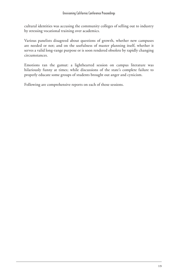cultural identities was accusing the community colleges of selling out to industry by stressing vocational training over academics.

Various panelists disagreed about questions of growth, whether new campuses are needed or not; and on the usefulness of master planning itself, whether it serves a valid long-range purpose or is soon rendered obsolete by rapidly changing circumstances.

Emotions ran the gamut: a lighthearted session on campus literature was hilariously funny at times; while discussions of the state's complete failure to properly educate some groups of students brought out anger and cynicism.

Following are comprehensive reports on each of those sessions.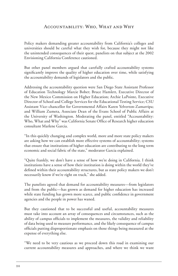# Accountability: Who, What and Why

Policy makers demanding greater accountability from California's colleges and universities should be careful what they wish for, because they might not like the unintended consequences of their quest, panelists on that subject at the 2002 Envisioning California Conference cautioned.

But other panel members argued that carefully crafted accountability systems significantly improve the quality of higher education over time, while satisfying the accountability demands of legislators and the public.

Addressing the accountability question were San Diego State Assistant Professor of Education Technology Marcie Bober; Bruce Hamlett, Executive Director of the New Mexico Commission on Higher Education; Archie LaPointe, Executive Director of School and College Services for the Educational Testing Service; CSU Assistant Vice-chancellor for Governmental Affairs Karen Yelverton-Zamarripa; and William Zumeta, Associate Dean of the Evans School of Public Affairs at the University of Washington. Moderating the panel, entitled "Accountability: Who, What and Why" was California Senate Office of Research higher education consultant Marlene Garcia.

"In this quickly changing and complex world, more and more state policy makers are asking how we can establish more effective systems of accountability; systems that ensure that institutions of higher education are contributing to the long term economic and social fabric of the state," moderator Garcia explained.

"Quite frankly, we don't have a sense of how we're doing in California. I think institutions have a sense of how their institution is doing within the world they've defined within their accountability structures, but as state policy makers we don't necessarily know if we're right on track," she added.

The panelists agreed that demand for accountability measures—from legislators and from the public—has grown as demand for higher education has increased while state funding has grown more scarce, and public confidence in government agencies and the people in power has waned.

But they cautioned that to be successful and useful, accountability measures must take into account an array of consequences and circumstances, such as the ability of campus officials to implement the measures, the validity and reliability of data being used to measure performance, and the likely consequence of campus officials putting disproportionate emphasis on those things being measured at the expense of everything else.

"We need to be very cautious as we proceed down this road in examining our current accountability measures and approaches, and where we think we want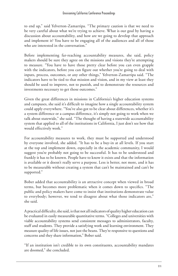to end up," said Yelverton-Zamarripa. "The primary caution is that we need to be very careful about what we're trying to achieve. What is our goal by having a discussion about accountability, and how are we going to develop that approach and implement it? You have to be engaging all of the audiences and all of those who are interested in the conversation."

Before implementing far-reaching accountability measures, she said, policy makers should be sure they agree on the missions and visions they're attempting to measure. "You have to have those pretty clear before you can even grapple with the indicators, before you can figure out whether you're going to deal with inputs, process, outcomes, or any other things," Yelverton-Zamarripa said. "The indicators have to be tied to that mission and vision, and in my view at least they should be used to improve, not to punish, and to demonstrate the resources and investments necessary to get those outcomes."

Given the great differences in missions in California's higher education systems and campuses, she said it's difficult to imagine how a single accountability system could apply everywhere. "You've also got to be clear about differences, whether it's a system difference or a campus difference, it's simply not going to work when we talk about statewide," she said. "The thought of having a statewide accountability system that applied to all of the institutions in California, I just don't see how that would effectively work."

For accountability measures to work, they must be supported and understood by everyone involved, she added. "It has to be a buy-in at all levels. If you start at the top and implement down, especially in the academic community, I would suggest you're probably not going to be successful. It has to be understood and frankly it has to be known. People have to know it exists and that the information is available or it doesn't really serve a purpose. Less is better, not more, and it has to be measurable without creating a system that can't be maintained and can't be supported."

Bober added that accountability is an attractive concept when viewed in broad terms, but becomes more problematic when it comes down to specifics. "The public and policy makers have come to insist that institutions demonstrate value to everybody; however, we tend to disagree about what those indicators are," she said.

A practical difficulty, she said, is that not all indicators of quality higher education can be evaluated in easily measurable quantitative terms. "Colleges and universities with viable accountability systems send consistent messages to administrators, faculty, staff and students. They provide a satisfying work and learning environment. They measure quality of life issues, not just the beans. They're responsive to questions and concerns and they share information," Bober said.

"If an institution isn't credible to its own constituents, accountability mandates are doomed," she concluded.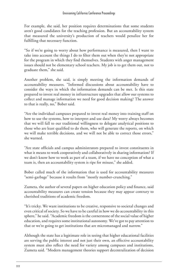For example, she said, her position requires determinations that some students aren't good candidates for the teaching profession. But an accountability system that measured the university's production of teachers would penalize her for fulfilling that necessary function.

"So if we're going to worry about how performance is measured, then I want to take into account the things I do to filter them out when they're not appropriate for the program in which they find themselves. Students with anger management issues should not be elementary school teachers. My job is to get them out, not to graduate them," she said.

Another problem, she said, is simply meeting the information demands of accountability measures. "Informed discussions about accountability have to consider the ways in which the information demands can be met. Is this state prepared to invest real money in infrastructure upgrades that allow our systems to collect and manage information we need for good decision making? The answer to that is really, no," Bober said.

"Are the individual campuses prepared to invest real money into training staff on how to use the systems, how to interpret and use data? My worry always becomes that we will fall to our traditional willingness to delegate analytical positions to those who are least qualified to do them, who will generate the reports, on which we will make terrible decisions, and we will not be able to correct those errors," she warned.

"Are state officials and campus administrators prepared to invest constituents in what it means to work cooperatively and collaboratively in sharing information? If we don't know how to work as part of a team, if we have no conception of what a team is, then an accountability system is ripe for misuse," she added.

Bober called much of the information that is used for accountability measures "semi-garbage" because it results from "mostly number-crunching."

Zumeta, the author of several papers on higher education policy and finance, said accountability measures can create tension because they may appear contrary to cherished traditions of academic freedom.

"It's tricky. We want institutions to be creative, responsive to societal changes and even critical of society. So we have to be careful in how we do accountability in this sphere," he said. "Academic freedom is the cornerstone of the social value of higher education, and requires some institutional autonomy. We've got to pay attention to that or we're going to get institutions that are micromanaged and narrow."

Although the state has a legitimate role in seeing that higher educational facilities are serving the public interest and not just their own, an effective accountability system must also reflect the need for variety among campuses and institutions, Zumeta said. "Modern management theories support decentralization of decision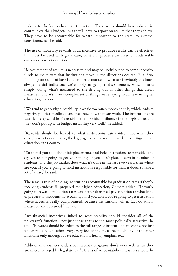making to the levels closest to the action. These units should have substantial control over their budgets, but they'll have to report on results that they achieve. They have to be accountable for what's important to the state, to external constituencies," he said.

The use of monetary rewards as an incentive to produce results can be effective, but must be used with great care, or it can produce an array of undesirable outcomes, Zumeta cautioned.

"Measurement of results is necessary, and may be usefully tied to some incentive funds to make sure that institutions move in the directions desired. But if we link large amounts of base funds to performance on what are inevitably or almost always partial indicators, we're likely to get goal displacement, which means simply, doing what's measured to the driving out of other things that aren't measured, and it's a very complex set of things we're trying to achieve in higher education," he said.

"We tend to get budget instability if we tie too much money to this, which leads to negative political feedback, and we know how that can work. The institutions are usually pretty capable of exercising their political influence in the Legislature, and they don't put up with budget instability very well," he added.

"Rewards should be linked to what institutions can control, not what they can't," Zumeta said, citing the lagging economy and job market as things higher education can't control.

"So that if you talk about job placements, and hold institutions responsible, and say you're not going to get your money if you don't place a certain number of students, and the job market does what it's done in the last two years, then where are you? If you're going to hold institutions responsible for that, it doesn't make a lot of sense," he said.

The same is true of holding institutions accountable for graduation rates if they're receiving students ill-prepared for higher education, Zumeta added. "If you're going to reward graduation rates you better darn well pay attention to what kind of preparation students have coming in. If you don't, you're going to get a situation where access is really compromised, because institutions will in fact do what's measured and rewarded," he said.

Any financial incentives linked to accountability should consider all of the university's functions, not just those that are the most politically attractive, he said. "Rewards should be linked to the full range of institutional missions, not just undergraduate education. Very, very few of the measures touch any of the other missions; only undergraduate education is heavily emphasized."

Additionally, Zumeta said, accountability programs don't work well when they are micromanaged by legislatures. "Details of accountability measures should be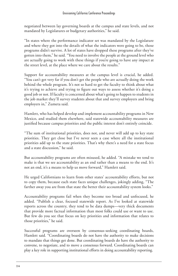negotiated between lay governing boards at the campus and state levels, and not mandated by Legislatures or budgetary authorities," he said.

"In states where the performance indicator set was mandated by the Legislature and where they got into the details of what the indicators were going to be, those programs didn't survive. A lot of states have dropped these programs after they've gotten into them," he said. "You need to involve the people at the ground level who are actually going to work with these things if you're going to have any impact at the street level, at the place where we care about the results."

Support for accountability measures at the campus level is crucial, he added. "You can't get very far if you don't get the people who are actually doing the work behind the whole program. It's not so hard to get the faculty to think about what it's trying to achieve and trying to figure out ways to assess whether it's doing a good job or not. If faculty is concerned about what's going to happen to students in the job market they'll survey students about that and survey employers and bring employers in," Zumeta said.

Hamlett, who has helped develop and implement accountability programs in New Mexico, and studied them elsewhere, said statewide accountability measures are justified because campus priorities and the public interest don't entirely coincide.

"The sum of institutional priorities, does not, and never will add up to key state priorities. They get close but I've never seen a case where all the institutional priorities add up to the state priorities. That's why there's a need for a state focus and a state discussion," he said.

But accountability programs are often misused, he added. "A mistake we tend to make is that we see accountability as an end rather than a means to the end. It's not an end, it's a means to help us move forward," Hamlett said.

He urged Californians to learn from other states' accountability efforts, but not to copy them, because each state faces unique challenges, jokingly adding, "The farther away you are from that state the better their accountability system looks."

Accountability programs fail when they become too broad and unfocused, he added. "Publish a clear, focused statewide report. As I've looked at statewide reports across the country, they tend to be data dumps—very thick documents that provide more factual information than most folks could use or want to use. But few do you see that focus on key priorities and information that relates to those priorities," he said.

Successful programs are overseen by consensus-seeking coordinating boards, Hamlett said. "Coordinating boards do not have the authority to make decisions to mandate that things get done. But coordinating boards do have the authority to convene, to negotiate, and to move a consensus forward. Coordinating boards can play a key role in supporting institutional efforts in doing accountability reporting.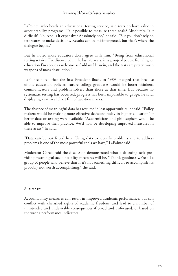LaPointe, who heads an educational testing service, said tests do have value in accountability programs. "Is it possible to measure these goals? Absolutely. Is it difficult? No. And is it expensive? Absolutely not," he said. "But you don't rely on test scores to make decisions. Results can be misinterpreted, but that's where the dialogue begins."

But he noted most educators don't agree with him. "Being from educational testing service, I've discovered in the last 20 years, in a group of people from higher education I'm about as welcome as Saddam Hussein, and the tests are pretty much weapons of mass destruction."

LaPointe noted that the first President Bush, in 1989, pledged that because of his education policies, future college graduates would be better thinkers, communicators and problem solvers than those at that time. But because no systematic testing has occurred, progress has been impossible to gauge, he said, displaying a satirical chart full of question marks.

The absence of meaningful data has resulted in lost opportunities, he said. "Policy makers would be making more effective decisions today in higher education" if better data or testing were available. "Academicians and philosophers would be able to improve their practice. We'd now be developing improved measures in these areas," he said.

"Data can be our friend here. Using data to identify problems and to address problems is one of the most powerful tools we have," LaPointe said.

Moderator Garcia said the discussion demonstrated what a daunting task providing meaningful accountability measures will be. "Thank goodness we're all a group of people who believe that if it's not something difficult to accomplish it's probably not worth accomplishing," she said.

#### **SUMMARY**

Accountability measures can result in improved academic performance, but can conflict with cherished rights of academic freedom, and lead to a number of unintended and undesirable consequences if broad and unfocused, or based on the wrong performance indicators.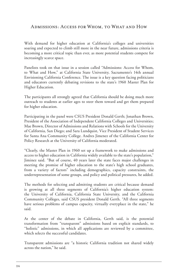# Admissions: Access for Whom, to What and How

With demand for higher education at California's colleges and universities soaring and expected to climb still more in the near future, admissions criteria is becoming a more critical topic than ever, as more potential students compete for increasingly scarce space.

Panelists took on that issue in a session called "Admissions: Access for Whom, to What and How," at California State University, Sacramento's 14th annual Envisioning California Conference. The issue is a key question facing politicians and educators currently debating revisions to the state's 1960 Master Plan for Higher Education.

The participants all strongly agreed that California should be doing much more outreach to students at earlier ages to steer them toward and get them prepared for higher education.

Participating in the panel were CSUS President Donald Gerth; Jonathan Brown, President of the Association of Independent California Colleges and Universities; Mae Brown, Director of Admissions and Relations with Schools for the University of California, San Diego; and Sara Lundquist, Vice President of Student Services for Santa Ana Community College. Andres Jimenez of the California Center for Policy Research at the University of California moderated.

"Clearly, the Master Plan in 1960 set up a framework to make admissions and access to higher education in California widely available to the state's population," Jiminez said. "But of course, 40 years later the state faces major challenges in meeting the promise of higher education to the state's high school graduates, from a variety of factors" including demographics, capacity constraints, the underrepresentation of some groups, and policy and political pressures, he added.

The methods for selecting and admitting students are critical because demand is growing at all three segments of California's higher education system: the University of California, California State University, and the California Community Colleges, said CSUS president Donald Gerth. "All three segments have serious problems of campus capacity, virtually everyplace in the state," he said.

At the center of the debate in California, Gerth said, is the potential transformation from "transparent" admissions based on explicit standards, to "holistic" admissions, in which all applications are reviewed by a committee, which selects the successful candidates.

Transparent admissions are "a historic California tradition not shared widely across the nation," he said.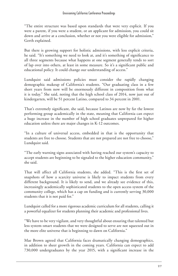"The entire structure was based upon standards that were very explicit. If you were a parent, if you were a student, or an applicant for admission, you could sit down and arrive at a conclusion, whether or not you were eligible for admission," Gerth explained.

But there is growing support for holistic admissions, with less explicit criteria, he said. "It's something we need to look at, and it's something of significance to all three segments because what happens at one segment generally tends to sort of lap over into others, at least in some measure. So it's a significant public and educational policy. It could change our understanding of access."

Lundquist said admissions policies must consider the rapidly changing demographic makeup of California's students. "Our graduating class in a few short years from now will be enormously different in composition from what it is today." She said, noting that the high school class of 2014, now just out of kindergarten, will be 51 percent Latino, compared to 34 percent in 2001.

That's extremely significant, she said, because Latinos are now by far the lowest performing group academically in the state, meaning that California can expect a huge increase in the number of high school graduates unprepared for higher education unless there are major changes in K-12 outcomes.

"In a culture of universal access, embedded in that is the opportunity that students are free to choose. Students that are not prepared are not free to choose," Lundquist said.

"The early warning signs associated with having reached our system's capacity to accept students are beginning to be signaled to the higher education community," she said.

That will affect all California students, she added. "This is the first set of snapshots of how a scarcity universe is likely to impact students from every different background. It is likely to send, and we already see evidence of this, increasingly academically sophisticated students to the open access system of the community college, which has a cap on funding and is currently serving 30,000 students that it is not paid for."

Lundquist called for a more rigorous academic curriculum for all students, calling it a powerful equalizer for students planning their academic and professional lives.

"We have to be very vigilant, and very thoughtful about ensuring that talented but less system-smart students that we were designed to serve are not squeezed out in the more elite universe that is beginning to dawn on California."

Mae Brown agreed that California faces dramatically changing demographics, in addition to sheer growth in the coming years. California can expect to add 730,000 undergraduates by the year 2015, with a significant increase in the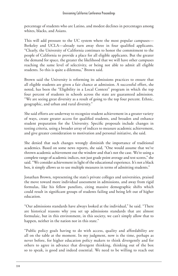percentage of students who are Latino, and modest declines in percentages among whites, blacks, and Asians.

This will add pressure to the UC system where the most popular campuses— Berkeley and UCLA—already turn away three in four qualified applicants. "Clearly, the University of California continues to honor the commitment to the people of California to provide a place for all eligible applicants. But the greater the demand for space, the greater the likelihood that we will have other campuses reaching the same level of selectivity, or being not able to admit all eligible students. So this is quite a dilemma," Brown said.

Brown said the University is reforming its admissions practices to ensure that all eligible students are given a fair chance at admission. A successful effort, she noted, has been the "Eligibility in a Local Context" program in which the top four percent of students in schools across the state are guaranteed admission. "We are seeing great diversity as a result of going to the top four percent. Ethnic, geographic, and urban and rural diversity."

She said efforts are underway to recognize student achievement in a greater variety of ways, create greater access for qualified students, and broaden and enhance student preparation for the University. Specific proposals include changes in testing criteria, using a broader array of indices to measure academic achievement, and give greater consideration to motivation and personal initiative, she said.

She denied that such changes wrongly diminish the importance of traditional academics. Based on some news reports, she said, "One would assume that we've thrown academic achievement out the window and that's not the case. We're using a complete range of academic indices, not just grade point average and test scores," she said. "We consider achievement in light of the educational experience. It's not a black box, it simply allows us to use multiple measures in terms of admitting students."

Jonathan Brown, representing the state's private colleges and universities, praised the move toward more individual assessment in admissions, and away from rigid formulas, like his fellow panelists, citing massive demographic shifts which could result in significant groups of students failing and being left out of higher education.

"Our admissions standards have always looked at the individual," he said. "There are historical reasons why you set up admissions standards that are almost formulaic, but in this environment, in this society, we can't simply allow that to happen, neither in the nation nor in this state."

"Public policy goals having to do with access, quality and affordability are all on the table at the moment. In my judgment, now is the time, perhaps as never before, for higher education policy makers to think divergently and for others to agree in advance that divergent thinking, thinking out of the box so to speak, is good and indeed essential. We need to be willing to reach out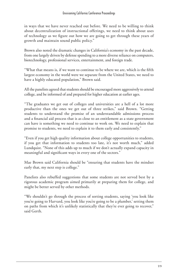in ways that we have never reached out before. We need to be willing to think about decentralization of instructional offerings, we need to think about uses of technology as we figure out how we are going to get through these years of growth and maintain sound public policy."

Brown also noted the dramatic changes in California's economy in the past decade, from one largely driven by defense spending to a more diverse reliance on computers, biotechnology, professional services, entertainment, and foreign trade.

"What that means is, if we want to continue to be where we are, which is the fifth largest economy in the world were we separate from the United States, we need to have a highly educated population," Brown said.

All the panelists agreed that students should be encouraged more aggressively to attend college, and be informed of and prepared for higher education at earlier ages.

"The graduates we get out of colleges and universities are a hell of a lot more productive than the ones we get out of three strikes," said Brown. "Getting students to understand the promise of an understandable admissions process and a financial aid process that is as close to an entitlement as a state government can have is something we need to continue to work on. We need to explain that promise to students, we need to explain it to them early and consistently."

"Even if you get high quality information about college opportunities to students, if you get that information to students too late, it's not worth much," added Lundquist. "None of this adds up to much if we don't actually expand capacity in meaningful and significant ways in every one of the sectors."

Mae Brown said California should be "ensuring that students have the mindset early that, my next step is college."

Panelists also rebuffed suggestions that some students are not served best by a rigorous academic program aimed primarily at preparing them for college, and might be better served by other methods.

"We shouldn't go through the process of sorting students, saying 'you look like you're going to Harvard, you look like you're going to be a plumber,' setting them on paths from which it's unlikely statistically that they're ever going to recover," said Gerth.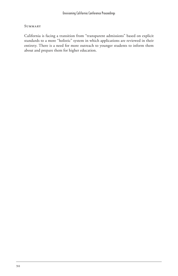#### **SUMMARY**

California is facing a transition from "transparent admissions" based on explicit standards to a more "holistic" system in which applications are reviewed in their entirety. There is a need for more outreach to younger students to inform them about and prepare them for higher education.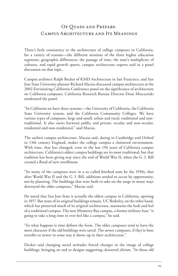# OF QUADS AND PREFABS: Campus Architecture and Its Meanings

There's little consistency to the architecture of college campuses in California, for a variety of reasons—the different missions of the three higher education segments, geographic differences, the passage of time, the state's multiplicity of cultures, and rapid growth spurts, campus architecture experts said in a panel discussion on that topic.

Campus architect Ralph Becker of KMD Architecture in San Francisco, and San Jose State University planner Richard Macias discussed campus architecture at the 2002 Envisioning California Conference panel on the significance of architecture on California campuses. California Research Bureau Director Dean Misczynski moderated the panel.

"In California we have three systems—the University of California, the California State University system, and the California Community Colleges. We have various types of campuses, large and small, urban and rural, traditional and nontraditional. It also varies between public and private, secular and non-secular, residential and non-residential," said Macias.

The earliest campus architecture, Macias said, dating to Cambridge and Oxford in 13th century England, makes the college campus a cloistered environment. With time, that has changed, even in the last 150 years of California campus architecture. California's oldest campus buildings are its most traditional, but that tradition has been giving way since the end of World War II, when the G. I. Bill created a flood of new enrollment.

"So many of the campuses were in a so-called finished state by the 1950s, that after World War II and the G. I. Bill, additions tended to occur by opportunity, not by planning. The buildings that were built to take on the surge in many ways destroyed the older campuses," Macias said.

He noted that San Jose State is actually the oldest campus in California, opening in 1857. But none of its original buildings remain. UC Berkeley, on the other hand, which has preserved much of its original architecture, maintains the look and feel of a traditional campus. The new Monterey Bay campus, a former military base "is going to take a long time to ever feel like a campus," he said.

"So what happens is time defines the form. The older campuses tend to have the most character if the old buildings were saved. The newer campuses, if they're base retrofits or newer in some way it shows up in their architecture."

Decker said changing social attitudes forced changes in the image of college buildings, bringing an end to designs suggesting cloistered elitism. "In those old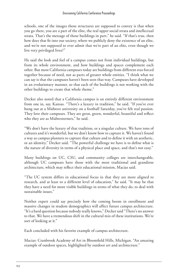schools, one of the images those structures are supposed to convey is that when you go there, you are a part of the elite, the real upper social strata and intellectual strata. That's the message of those buildings in part," he said. "If that's true, then how does that fit into our society, where we publicly deny the existence of an elite, and we're not supposed to ever admit that we're part of an elite, even though we live very privileged lives?"

He said the look and feel of a campus comes not from individual buildings, but from its whole environment, and how buildings and spaces complement each other. But most California campuses today are buildings from different eras forced together because of need, not as parts of greater whole entities. "I think what we can say is that the campuses haven't been seen that way. Campuses have developed in an evolutionary manner, so that each of the buildings is not working with the other buildings to create that whole theme."

Decker also noted that a California campus is an entirely different environment from one in, say, Kansas. "There's a luxury in tradition," he said. "If you've ever hung out at a Midwest university on a football Saturday, you've felt real passion. They love their campuses. They are great, green, wonderful, beautiful and reflect who they are as Midwesterners," he said.

"We don't have the luxury of that tradition, or a singular culture. We have tons of cultures and it's wonderful, but we don't know how to capture it. We haven't found a way as campus planners to capture that culture and to define it with an aesthetic, or an identity," Decker said. "The powerful challenge we have is to define what is the nature of diversity in terms of a physical place and space, and that's not easy."

Many buildings on UC, CSU, and community colleges are interchangeable, although UC campuses have those with the most traditional and grandiose architecture, which may reflect their educational mission, Macias said.

"The UC system differs in educational focus in that they are more aligned to research, and at least to a different level of education," he said. "It may be that they have a need for more visible buildings in terms of what they do, to deal with sustainable issues."

Neither expert could say precisely how the coming boom in enrollment and massive changes in student demographics will affect future campus architecture. "It's a hard question because nobody really knows," Decker said "There's no answer to that. We have a tremendous shift in the cultural mix of these institutions. We're sort of looking at it."

Each concluded with his favorite example of campus architecture.

Macias: Cranbrook Academy of Art in Bloomfield Hills, Michigan. "An amazing example of outdoor spaces, highlighted by outdoor art and architecture."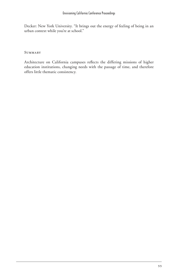Decker: New York University. "It brings out the energy of feeling of being in an urban context while you're at school."

**SUMMARY** 

Architecture on California campuses reflects the differing missions of higher education institutions, changing needs with the passage of time, and therefore offers little thematic consistency.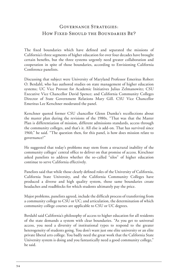# GOVERNANCE STRATEGIES: How FIXED SHOULD THE BOUNDARIES BE?

The fixed boundaries which have defined and separated the missions of California's three segments of higher education for over four decades have brought certain benefits, but the three systems urgently need greater collaboration and cooperation in spite of those boundaries, according to Envisioning California Conference panelists.

Discussing that subject were University of Maryland Professor Emeritus Robert O. Berdahl, who has authored studies on state management of higher education systems; UC Vice Provost for Academic Initiatives Julius Zelmanowitz; CSU Executive Vice Chancellor David Spence; and California Community Colleges Director of State Government Relations Mary Gill. CSU Vice Chancellor Emeritus Lee Kerschner moderated the panel.

Kerschner quoted former CSU chancellor Glenn Dumke's recollections about the master plan during the revisions of the 1980s. "That was that the Master Plan is differentiation of mission, different admissions standards, access through the community colleges, and that's it. All else is add-on. That has survived since 1960," he said. "The question then, for this panel, is how does mission relate to governance?"

He suggested that today's problems may stem from a structural inability of the community colleges' central office to deliver on that promise of access. Kirschner asked panelists to address whether the so-called "silos" of higher education continue to serve California effectively.

Panelists said that while those clearly defined roles of the University of California, California State University, and the California Community Colleges have produced a diverse and high quality system, those same boundaries create headaches and roadblocks for which students ultimately pay the price.

Major problems, panelists agreed, include the difficult process of transferring from a community college to CSU or UC; and articulation, the determination of which community college courses are applicable to CSU or UC degrees.

Berdahl said California's philosophy of access to higher education for all residents of the state demands a system with clear boundaries. "As you get to universal access, you need a diversity of institutional types to respond to the greater heterogeneity of students going. You don't want just one elite university or an elite private liberal arts college. You badly need the great work that the California State University system is doing and you fantastically need a good community college," he said.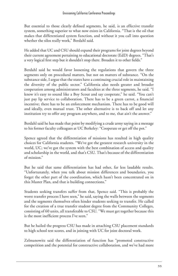But essential to those clearly defined segments, he said, is an effective transfer system, something superior to what now exists in California. "That is the oil that makes that differentiated system function, and without it you call into question whether the silos really work," Berdahl said.

He added that UC and CSU should expand their programs for joint degrees beyond their current agreement pertaining to educational doctorate (EdD) degrees. "That's a very logical first step but it shouldn't stop there. Broaden it to other fields."

Berdahl said he would favor loosening the regulations that govern the three segments only on procedural matters, but not on matters of substance. "On the substance side, I argue that the states have a continuing crucial role in maintaining the diversity of the public sector." California also needs greater and broader cooperation among administrators and faculties at the three segments, he said. "I know it's easy to sound like a Boy Scout and say cooperate," he said. "You can't just pay lip service to collaboration. There has to be a green carrot, a financial incentive; there has to be an enforcement mechanism. There has to be good will and ideally, even mutual trust. The other alternative is to back off and let any institution try to offer any program anywhere, and to me, that ain't the answer."

Berdahl said he has made that point by modifying a crude army saying in a message to his former faculty colleagues at UC Berkeley: "Cooperate or get off the pot."

Spence agreed that the differentiation of missions has resulted in high quality choices for California students. "We've got the greatest research university in the world, UC; we've got the system with the best combination of access and quality and scholarship in the world, and that's CSU. That's because of the differentiation of mission."

But he said that same differentiation has had other, far less laudable results. "Unfortunately, when you talk about mission differences and boundaries, you forget the other part of the coordination, which hasn't been concentrated on in this Master Plan, and that is building connections."

Students seeking transfers suffer from that, Spence said. "This is probably the worst transfer process I have seen," he said, saying the walls between the segments and the segments themselves often hinder students seeking to transfer. He called for the creation of a true transfer student degree from the Community Colleges, consisting of 60 units, all transferable to CSU. "We must get together because this is the most inefficient process I've seen."

But he hailed the progress CSU has made in attaching CSU placement standards to high school test scores, and in joining with UC for joint doctoral work.

Zelmanowitz said the differentiation of function has "promoted constructive competition and the potential for constructive collaboration, and we've had more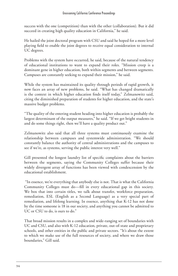success with the one (competition) than with the other (collaboration). But it did succeed in creating high quality education in California," he said.

He hailed the joint doctoral program with CSU and said he hoped for a more level playing field to enable the joint degrees to receive equal consideration to internal UC degrees.

Problems with the system have occurred, he said, because of the natural tendency of educational institutions to want to expand their roles. "Mission creep is a dominant gene in higher education, both within segments and between segments. Campuses are constantly seeking to expand their mission," he said.

While the system has maintained its quality through periods of rapid growth, it now faces an array of new problems, he said. "What has changed dramatically is the context in which higher education finds itself today," Zelmanowitz said, citing the diminished preparation of students for higher education, and the state's massive budget problems.

"The quality of the entering student heading into higher education is probably the largest determinant of the output measures," he said. "If we get bright students in and do some things right, then we'll have a quality product out."

Zelmanowitz also said that all three systems must continuously examine the relationship between campuses and systemwide administration. "We should constantly balance the authority of central administrations and the campuses to see if we're, as systems, serving the public interest very well."

Gill presented the longest laundry list of specific complaints about the barriers between the segments, saying the Community Colleges suffer because their widely divergent array of functions has been viewed with condescension by the educational establishment.

 "In essence, we're everything that anybody else is not. That is what the California Community Colleges must do—fill in every educational gap in this society. We box that into certain titles, we talk about transfer, workforce preparation, remediation, ESL (English as a Second Language) as a very special part of remediation, and lifelong learning. In essence, anything that K-12 has not done by the time someone is 18 in our society, and anything you cannot be admitted to UC or CSU to do, is ours to do."

That broad mission results in a complex and wide-ranging set of boundaries with UC and CSU, and also with K-12 education, private, out-of-state and proprietary schools, and other entities in the public and private sectors. "It's about the extent to which we make use of the full resources of society, and where we draw those boundaries," Gill said.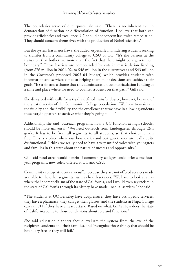The boundaries serve valid purposes, she said. "There is no inherent evil in demarcation of function or differentiation of function. I believe that both can provide efficiencies and excellence. UC should not concern itself with remediation. They should concern themselves with the production of Nobel scientists."

But the system has major flaws, she added, especially in hindering students seeking to transfer from a community college to CSU or UC. "It's the barriers at the transition that bother me more than the fact that there might be a government boundary." Those barriers are compounded by cuts in matriculation funding (from \$76 million in 2001-02, to \$48 million in the current year and \$43 million in the Governor's proposed 2003-04 budget) which provides students with information and services aimed at helping them make decisions and achieve their goals. "It's a sin and a shame that this administration cut matriculation funding at a time and place where we need to counsel students on that path," Gill said.

She disagreed with calls for a rigidly defined transfer degree, however, because of the great diversity of the Community College population. "We have to maintain the fluidity and the flexibility and the excellence that we have in allowing students these varying patters to achieve what they're going to do."

Additionally, she said, outreach programs, now a UC function at high schools, should be more universal. "We need outreach from kindergarten through 12th grade. It has to be from all segments to all students, so that choices remain free. This is a place where our boundaries and our governance are really quite dysfunctional. I think we really need to have a very unified voice with youngsters and families in this state about the nature of success and opportunity."

Gill said rural areas would benefit if community colleges could offer some fouryear programs, now solely offered at UC and CSU.

Community college students also suffer because they are not offered services made available to the other segments, such as health services. "We have to look at areas where the inherent elitism of the state of California, and I would even say racism in the state of California through its history have made unequal services," she said.

"The students at UC Berkeley have acupressure, they have orthopedic services, they have a pharmacy, they can get their glasses; and the students at Napa College can call 911 if they have a heart attack. Based on what, GPA? How does the state of California come to those conclusions about role and function?"

She said education planners should evaluate the system from the eye of the recipients, students and their families, and "recognize those things that should be boundary free or they will fail."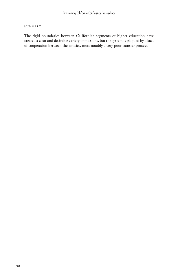#### **SUMMARY**

The rigid boundaries between California's segments of higher education have created a clear and desirable variety of missions, but the system is plagued by a lack of cooperation between the entities, most notably a very poor transfer process.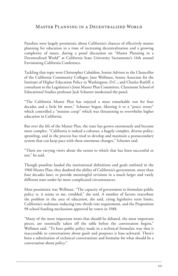### Master Planning in a Decentralized World

Panelists were largely pessimistic about California's chances of effectively master planning for education in a time of increasing decentralization and a growing complexity of issues, during a panel discussion on "Master Planning in a Decentralized World" at California State University Sacramento's 14th annual Envisioning California Conference.

Tackling that topic were Christopher Cabaldon, Senior Advisor to the Chancellor of the California Community Colleges; Jane Wellman, Senior Associate for the Institute of Higher Education Policy in Washington, D.C.; and Charles Ratliff, a consultant to the Legislature's Joint Master Plan Committee. Claremont School of Educational Studies professor Jack Schuster moderated the panel.

"The California Master Plan has enjoyed a most remarkable run for four decades and a little bit more," Schuster began, likening it to a "peace treaty" which controlled a "mission creep" which was threatening to overwhelm higher education in California.

But over the life of the Master Plan, the state has grown enormously and become more complex. "California is indeed a colossus, a hugely complex, diverse polity; sprawling, and in the process has tried to develop and maintain a postsecondary system that can keep pace with these enormous changes," Schuster said.

"There are varying views about the extent to which that has been successful or not," he said.

Though panelists lauded the institutional definitions and goals outlined in the 1960 Master Plan, they doubted the ability of California's government, more than four decades later, to provide meaningful revisions in a much larger and vastly different state under far more complicated circumstances.

Most pessimistic was Wellman. "The capacity of government to formulate public policy is, it seems to me, troubled," she said. A number of factors exacerbate the problem in the area of education, she said, citing legislative term limits, California's stalemate-inducing two-thirds vote requirement, and the Proposition 98 school funding mechanism approved by voters in 1988.

"Many of the most important items that should be debated, the most important pieces, are essentially taken off the table before the conversation begins," Wellman said. "To have public policy made in a technical formulaic way that is inaccessible to conversations about goals and purposes is bass-ackward. There's been a substitution of technical conversations and formulas for what should be a conversation about policy."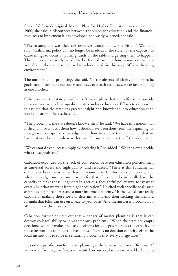Since California's original Master Plan for Higher Education was adopted in 1960, she said, a disconnect between the vision for education and the financial resources to implement it has developed and vastly widened, she said.

"The assumption was that the resources would follow the vision," Wellman said. "California policy can no longer be made as if the state has the capacity to cause things to occur by putting funds on the table and getting them to happen. The conversation really needs to be framed around how resources that are available to the state can be used to achieve goals in this very different funding environment."

The outlook is not promising, she said. "In the absence of clarity about specific goals, and measurable outcomes and ways to match resources, we're just babbling at one another."

Cabaldon said the state probably can't make plans that will effectively provide universal access to a high-quality postsecondary education. Efforts to do so seem to assume that the state has greater insight and knowledge into education than local education officials, he said.

"The problem is, the state doesn't know either," he said. "We have this notion that if they fail, we will tell them how it should have been done from the beginning, as though we have special knowledge about how to achieve those outcomes that we have just not chosen to share with them. I'm sure that's not true," Cabaldon said.

"We cannot drive success simply by declaring it," he added. "We can't even decide what those goals are."

Cabaldon expanded on the lack of connection between education policies, such as universal access and high quality, and resources. "There is this fundamental disconnect between what we have announced to California as our policy, and what the budget mechanism provides for that. This state doesn't really have the capacity to make those judgments in a serious, thoughtful policy way, to say what exactly is it that we want from higher education." He cited such specific goals such as producing more nurses and a more informed citizenry. "Is the Legislature really capable of making those sorts of determinations and then sticking them into a formula that folks can use on a year-to-year basis? And the answer is probably not. We don't have the answers."

Cabaldon further pointed out that a danger of master planning is that it can destroy colleges' ability to solve their own problems. "When the state pre-empts decisions, when it makes the easy decisions for colleges, it erodes the capacity of those institutions to make the hard ones. There is no decision capacity left at the local institutions to solve the enduring problems that every college faces."

He said the justification for master planning is the same as that for traffic laws. "If we were all free to go as fast as we wanted on our local streets we would all end up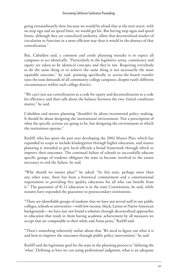going extraordinarily slow, because we would be afraid that at the next street, with no stop sign and no speed limit, we would get hit. But having stop signs and speed limits, although they are centralized authority, allow that decentralized market of circulation to function in a more efficient way than it would in the absence of that centralization."

But, Cabaldon said, a common and costly planning mistake is to expect all campuses to act identically. "Particularly in the legislative arena, consistency and equity are taken to be identical concepts and they're not. Requiring everybody to do the same thing or to achieve the same thing is not necessarily the most equitable outcome," he said, pointing specifically to across-the-board transfer rates the state demands of all community college campuses, despite vastly different circumstances within each college district.

"We can't just use centralization as a code for equity and decentralization as a code for efficiency and then talk about the balance between the two. Initial conditions matter," he said.

Cabaldon said master planning "shouldn't be about incremental policy making. It should be about designing the institutional environment. Not a prescription of what the specific actions are going to be, but designing the environment in which the institutions operate."

Ratliff, who has spent the past year developing the 2002 Master Plan, which has expanded its scope to include kindergarten through higher education, said master planning is intended to give local officials a broad framework through which to improve their outcomes. The continual failure of schools to successfully educate specific groups of students obligates the state to become involved to the extent necessary to end the failure, he said.

"Why should we master plan?" he asked. "In this state, perhaps more than any other state, there has been a historical commitment and a constitutional requirement to providing free quality education for all who can benefit from it." The guarantee of K-12 education is in the state Constitution, he said, while statutes have expanded the guarantee to postsecondary institutions.

"There are identifiable groups of students that we have not served well in our public colleges, schools or universities—with low income, black, Latino or Native American backgrounds—we have just not found a solution through decentralized approaches to education that result in them having academic achievement by all measures we accept that are comparable to their white and Asian peers," Ratliff said.

"There's something inherently unfair about that. We need to figure out what it is and how to improve the outcomes through public policy intervention," he said.

Ratliff said the legitimate goal for the state in the planning process is "defining the 'what.' Defining as best we can using professional judgment, what is an adequate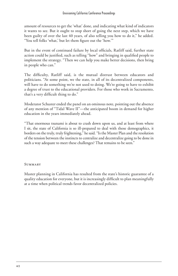amount of resources to get the 'what' done, and indicating what kind of indicators it wants to see. But it ought to stop short of going the next step, which we have been guilty of over the last 40 years, of also telling you how to do it," he added. "You tell folks 'what,' but let them figure out the 'how.'"

But in the event of continued failure by local officials, Ratliff said, further state action could be justified, such as telling "how" and bringing in qualified people to implement the strategy. "Then we can help you make better decisions, then bring in people who can."

The difficulty, Ratliff said, is the mutual distrust between educators and politicians. "At some point, we the state, in all of its decentralized components, will have to do something we're not used to doing. We're going to have to exhibit a degree of trust to the educational providers. For those who work in Sacramento, that's a very difficult thing to do."

Moderator Schuster ended the panel on an ominous note, pointing out the absence of any mention of "Tidal Wave II"—the anticipated boom in demand for higher education in the years immediately ahead.

"That enormous tsunami is about to crash down upon us, and at least from where I sit, the state of California is so ill-prepared to deal with those demographics, it borders on the truly, truly frightening," he said. "Is the Master Plan and the resolution of the tension between the instincts to centralize and decentralize going to be done in such a way adequate to meet these challenges? That remains to be seen."

### **SUMMARY**

Master planning in California has resulted from the state's historic guarantee of a quality education for everyone, but it is increasingly difficult to plan meaningfully at a time when political trends favor decentralized policies.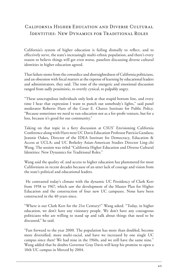# California Higher Education and Diverse Cultural Identities: New Dynamics for Traditional Roles

California's system of higher education is failing dismally to reflect, and to effectively serve, the state's increasingly multi-ethnic population, and there's every reason to believe things will get even worse, panelists discussing diverse cultural identities in higher education agreed.

That failure stems from the cowardice and shortsightedness of California politicians, and an obsession with fiscal matters at the expense of learning by educational leaders and administrators, they said. The tone of the energetic and emotional discussion ranged from sadly pessimistic, to overtly cynical, to palpably angry.

"These unscrupulous individuals only look at that stupid bottom line, and every time I hear that expression I want to punch out somebody's lights," said panel moderator Roberto Haro of the Cesar E. Chavez Institute for Public Policy. "Because sometimes we need to run education not as a for-profit venture, but for a loss, because it's good for our community."

Taking on that topic in a fiery discussion at CSUS' Envisioning California Conference along with Haro were UC Davis Education Professor Patricia Gandara; Jeannie Oakes, Director of the IDEA Institute for Democracy, Education & Access at UCLA; and UC Berkeley Asian-American Studies Director Ling-chi Wang. The session was titled "California Higher Education and Diverse Cultural Identities: New Dynamics for Traditional Roles."

Wang said the quality of, and access to higher education has plummeted for most Californians in recent decades because of an utter lack of courage and vision from the state's political and educational leaders.

 He contrasted today's climate with the dynamic UC Presidency of Clark Kerr from 1958 to 1967, which saw the development of the Master Plan for Higher Education and the construction of four new UC campuses. None have been constructed in the 40 years since.

"Where is our Clark Kerr for the 21st Century?" Wang asked. "Today, in higher education, we don't have any visionary people. We don't have any courageous politicians who are willing to stand up and talk about things that need to be discussed," he said.

"Fast forward to the year 2000. The population has more than doubled, become more diversified, more multi-racial, and have we increased by one single UC campus since then? We had nine in the 1960s, and we still have the same nine." Wang added that he doubts Governor Gray Davis will keep his promise to open a 10th UC campus in Merced by 2004.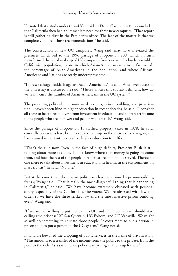He noted that a study under then-UC president David Gardner in 1987 concluded that California then had an immediate need for three new campuses. "That report is still gathering dust in the President's office. The fact of the matter is that we completely ignored those recommendations," he said.

The construction of new UC campuses, Wang said, may have alleviated the pressures which led to the 1996 passage of Proposition 209, which in turn transformed the racial makeup of UC campuses from one which closely resembled California's population, to one in which Asian-American enrollment far exceeds the percentage of Asian-Americans in the population, and where African-Americans and Latinos are sorely underrepresented.

"I foresee a huge backlash against Asian-Americans," he said. Whenever access to the university is discussed, he said, "There's always this subtext behind it, how do we really curb the number of Asian-Americans in the UC system."

The prevailing political trends—toward tax cuts, prison building, and privatization—haven't been kind to higher education in recent decades, he said. "I consider all these to be efforts to divest from investment in education and to transfer income to the people who are in power and people who are rich," Wang said.

Since the passage of Proposition 13 slashed property taxes in 1978, he said, cowardly politicians have been too quick to jump on the anti-tax bandwagon, and have caused important services like higher education to suffer.

"That's the rule now. Even in the face of huge deficits, President Bush is still talking about more tax cuts. I don't know where that money is going to come from, and how the rest of the people in America are going to be served. There's no one there to talk about investment in education, in health, in the environment, in mass transit," he said. "No one."

But at the same time, those same politicians have sanctioned a prison-building frenzy, Wang said. "That is really the most disgraceful thing that is happening in California," he said. "We have become extremely obsessed with personal safety, especially of the California white voters. We are obsessed with law and order, so we have the three-strikes law and the most massive prison building ever," Wang said.

"If we are not willing to put money into UC and CSU, perhaps we should start calling (the prisons) UC San Quentin, UC Folsom, and UC Vacaville. We might as well do something to educate those people. It costs more to put a person in prison than to put a person in the UC system," Wang noted.

Finally, he bewailed the crippling of public services in the name of privatization. "This amounts to a transfer of the income from the public to the private, from the poor to the rich. As a systemwide policy, everything at UC is up for sale."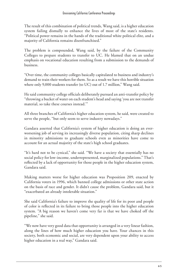The result of this combination of political trends, Wang said, is a higher education system failing dismally to enhance the lives of most of the state's residents. "Political power remains in the hands of the traditional white political elite, and a majority of California remains disenfranchised."

The problem is compounded, Wang said, by the failure of the Community Colleges to prepare students to transfer to UC. He blamed that on an undue emphasis on vocational education resulting from a submission to the demands of business.

"Over time, the community colleges basically capitulated to business and industry's demand to train their workers for them. So as a result we have this horrible situation where only 9,000 students transfer (to UC) out of 1.7 million," Wang said.

He said community college officials deliberately pursued an anti-transfer policy by "throwing a bucket of water on each student's head and saying 'you are not transfer material, so take these courses instead.'"

All three branches of California's higher education system, he said, were created to serve the people, "but only seem to serve industry nowadays."

Gandara asserted that California's system of higher education is doing an everworsening job of serving its increasingly diverse population, citing sharp declines in minority admissions to graduate schools even as minorities have come to account for an actual majority of the state's high school graduates.

"It's hard not to be cynical," she said. "We have a society that essentially has no social policy for low-income, underrepresented, marginalized populations." That's reflected by a lack of opportunity for those people in the higher education system, Gandara said.

Making matters worse for higher education was Proposition 209, enacted by California voters in 1996, which banned college admissions or other state action on the basis of race and gender. It didn't cause the problem, Gandara said, but it "exacerbated an already intolerable situation."

She said California's failure to improve the quality of life for its poor and people of color is reflected in its failure to bring those people into the higher education system. "A big reason we haven't come very far is that we have choked off the pipeline," she said.

"We now have very good data that opportunity is arranged in a very linear fashion, along the lines of how much higher education you have. Your chances in this society, both economic and social, are very dependent upon your ability to access higher education in a real way," Gandara said.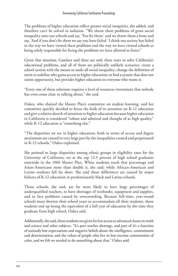The problems of higher education reflect greater social inequities, she added, and therefore can't be solved in isolation. "We throw these problems of gross social inequality onto our schools and say, 'You fix them,' and we throw them a bone and say, 'And if you don't fix them we say you have failed.' I think our society has failed in the way we have viewed these problems and the way we have viewed schools as being solely responsible for fixing the problems we have allowed to fester."

Given that situation, Gandara said there are only three ways to solve California's educational problems, and all of them are politically unlikely scenarios: create a school system with the means to undo all social inequality; change the definition of merit to redefine who gains access to higher education; or find a system that does not ration opportunity, but provides higher education to everyone who wants it.

"Every one of those solutions requires a level of resources investment that nobody has even come close to talking about," she said.

Oakes, who chaired the Master Plan's committee on student learning, said her committee quickly decided to focus the bulk of its attention on K-12 education and give a relative dearth of attention to higher education because higher education in California is considered "robust and admired and thought of as high quality," while K-12 education is "something else."

"The disparities we see in higher education, both in terms of access and degree attainment are caused in very large part by the inequalities created and perpetuated in K-12 schools," Oakes explained.

She pointed to large disparities among ethnic groups in eligibility rates for the University of California, set at the top 12.5 percent of high school graduates statewide in the 1960 Master Plan. White students reach that percentage and Asian-Americans more than double it, she said, while African-American and Latino students fall far short. She said those differences are caused by major failures of K-12 education in predominantly black and Latino schools.

Those schools, she said, are far more likely to have large percentages of underqualified teachers, to have shortages of textbooks, equipment and supplies, and to face problems caused by overcrowding. Because full-time, year-round schools must shorten their school years to accommodate all their students, those students end up losing the equivalent of a full year of education by the time they graduate from high school, Oakes said.

Additionally, she said, those students are given far less access to advanced classes in math and science and other subjects. "It's part teacher shortage, and part of it's a function of seriously low expectations and negative beliefs about the intelligence, commitment and determination, and the values of people who live in low-income communities of color, and we felt we needed to do something about that," Oakes said.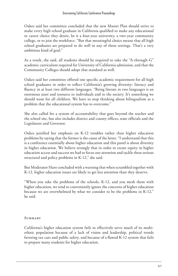Oakes said her committee concluded that the new Master Plan should strive to make every high school graduate in California qualified to make any educational or career choice they desire, be it a four-year university, a two-year community college, or to join the workforce. "But that meaningful choice means that all high school graduates are prepared to do well in any of those settings. That's a very ambitious kind of goal."

As a result, she said, all students should be required to take the "A-through-G" academic curriculum required for University of California admission, and that the Community Colleges should adopt that standard as well.

Oakes said her committee offered one specific academic requirement for all high school graduates in order to reflect California's growing diversity: literacy and fluency in at least two different languages. "Being literate in two languages is an enormous asset and resource to individuals and to the society. It's something we should want for all children. We have to stop thinking about bilingualism as a problem that the educational system has to overcome."

She also called for a system of accountability that goes beyond the teacher and the school site, but also includes district and county offices, state officials and the Legislature and Governor.

Oakes justified her emphasis on K-12 troubles rather than higher education problems by saying that the former is the cause of the latter. "I understand that this is a conference essentially about higher education and this panel is about diversity in higher education. We believe strongly that in order to create equity in higher education access and success we had to focus our attention and tackle these serious structural and policy problems in K-12," she said.

But Moderator Haro concluded with a warning that when scrambled together with K-12, higher education issues are likely to get less attention than they deserve.

"When you take the problems of the schools, K-12, and you mesh them with higher education, we tend to conveniently ignore the concerns of higher education because we are overwhelmed by what we consider to be the problems in K-12," he said.

#### **SUMMARY**

California's higher education system fails to effectively serve much of its multiethnic population because of a lack of vision and leadership, political trends favoring tax cuts and public safety, and because of a flawed K-12 system that fails to prepare many students for higher education.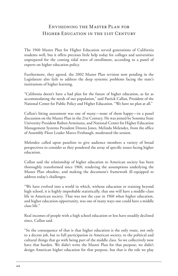### Envisioning the Master Plan for Higher Education in the 21st Century

The 1960 Master Plan for Higher Education served generations of California students well, but it offers precious little help today for colleges and universities unprepared for the coming tidal wave of enrollment, according to a panel of experts on higher education policy.

Furthermore, they agreed, the 2002 Master Plan revision now pending in the Legislature also fails to address the deep systemic problems facing the state's institutions of higher learning.

"California doesn't have a bad plan for the future of higher education, as far as accommodating the needs of our population," said Patrick Callan, President of the National Center for Public Policy and Higher Education. "We have no plan at all."

Callan's biting assessment was one of many—none of them happy—in a panel discussion on the Master Plan in the 21st Century. He was joined by Sonoma State University President Ruben Arminana, and National Center for Higher Education Management Systems President Dennis Jones. Melinda Melendez, from the office of Assembly Floor Leader Marco Firebaugh, moderated the session.

Melendez called upon panelists to give audience members a variety of broad perspectives to consider as they pondered the array of specific issues facing higher education.

Callan said the relationship of higher education to American society has been thoroughly transformed since 1960, rendering the assumptions underlying the Master Plan obsolete, and making the document's framework ill-equipped to address today's challenges.

"We have evolved into a world in which, without education or training beyond high school, it is highly improbable statistically, that one will have a middle-class life in American society. That was not the case in 1960 when higher education, and higher education opportunity, was one of many ways one could have a middle class life."

Real incomes of people with a high school education or less have steadily declined since, Callan said.

"So the consequence of that is that higher education is the only route, not only to a decent job, but to full participation in American society, to the political and cultural things that go with being part of the middle class. So we collectively now have that burden. We didn't write the Master Plan for that purpose, we didn't design American higher education for that purpose, but that is the role we play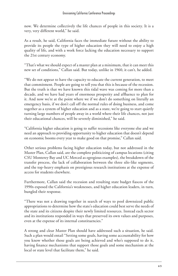now. We determine collectively the life chances of people in this society. It is a very, very different world," he said.

As a result, he said, California faces the immediate future without the ability to provide its people the type of higher education they will need to enjoy a high quality of life, and with a work force lacking the education necessary to support the 21st century economy.

"That's what we should expect of a master plan at a minimum, that it can meet this new set of conditions," Callan said. But today, unlike in 1960, it can't, he added.

"We do not appear to have the capacity to educate the current generation, to meet that commitment. People are going to tell you that this is because of the recession. But the truth is that we have known this tidal wave was coming for more than a decade, and we have had years of enormous prosperity and affluence to plan for it. And now we're at the point where we if we don't do something on literally an emergency basis, if we don't call off the normal rules of doing business, and come together as a system of higher education and as a state, we're going to start quietly turning large numbers of people away in a world where their life chances, not just their educational chances, will be severely diminished," he said.

"California higher education is going to suffer recessions like everyone else and we need an approach to providing opportunity to higher education that doesn't depend on economic booms every year to make good on that promise," Callan said.

Other serious problems facing higher education today, but not addressed in the Master Plan, Callan said, are the complete politicizing of campus locations (citing CSU Monterey Bay and UC Merced as egregious examples), the breakdown of the transfer process, the lack of collaboration between the three silo-like segments, and the top-heavy emphasis on prestigious research institutions at the expense of access for students elsewhere.

Furthermore, Callan said the recession and resulting state budget fiascos of the 1990s exposed the California's weaknesses, and higher education leaders, in turn, bungled their response.

"There was not a drawing together in search of ways to pool downsized public appropriations to determine how the state's education could best serve the needs of the state and its citizens despite their newly limited resources. Instead each sector and its institutions responded in ways that preserved its own values and purposes, even at the expense of its internal constituencies."

A strong and clear Master Plan should have addressed such a situation, he said. Such a plan would entail "Setting some goals, having some accountability for how you know whether those goals are being achieved and who's supposed to do it, having finance mechanisms that support those goals and some mechanism at the local or state level that facilitate them," he said.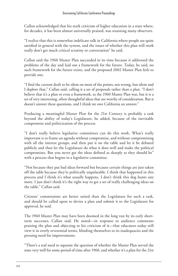Callan acknowledged that his stark criticism of higher education in a state where, for decades, it has been almost universally praised, was stunning many observers.

"I realize that this is somewhat indelicate talk in California where people are quite satisfied in general with the system, and the issues of whether this plan will work really don't get much critical scrutiny or conversation" he said.

Callan said the 1960 Master Plan succeeded in its time because it addressed the problems of the day and laid out a framework for the future. Today, he said, no such framework for the future exists, and the proposed 2002 Master Plan fails to provide one.

"I find the current draft to be silent on most of the points; not wrong, but silent and I deplore that," Callan said, calling it a set of proposals rather than a plan. "I don't believe that it's a plan or even a framework, as the 1960 Master Plan was, but it is a set of very interesting, often thoughtful ideas that are worthy of consideration. But it doesn't answer these questions, and I think we owe California an answer."

Producing a meaningful Master Plan for the 21st Century is probably a task beyond the ability of today's Legislature, he added, because of the inevitable compromise and politicization of the process

"I don't really believe legislative committees can do this work. What's really important is to frame an agenda without compromise, and without compromising with all the interest groups, and then put it on the table and let it be debated publicly and then let the Legislature do what it does well and make the political compromises. But you never get the ideas defined as sharply as they should be" with a process that begins in a legislative committee.

"Not because they put bad ideas forward but because certain things are just taken off the table because they're politically unpalatable. I think that happened in this process and I think it's what usually happens. I don't think this dog hunts any more. I just don't think it's the right way to get a set of really challenging ideas on the table," Callan said.

Citizens' commissions are better suited than the Legislature for such a task, and should be called upon to devise a plan and submit it to the Legislature for approval, he said.

The 1960 Master Plan may have been doomed in the long run by its early shortterm successes, Callan said. He noted—in response to audience comments praising the plan and objecting to his criticism of it—that educators today still view it in overly reverential terms, blinding themselves to its inadequacies and the pressing need for improvements.

"There's a real need to separate the question of whether the Master Plan served the state very well for some period of time after 1960, and whether it's a plan for the 21st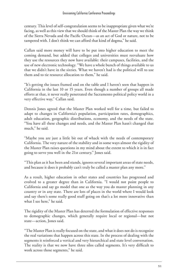century. This level of self-congratulation seems to be inappropriate given what we're facing, as well as this view that we should think of the Master Plan the way we think of the Sierra Nevada and the Pacific Ocean—as an act of God or nature, not to be tampered with. I don't think we can afford that kind of dogma," he said.

Callan said more money will have to be put into higher education to meet the coming demand, but added that colleges and universities must reevaluate how they use the resources they now have available: their campuses, facilities, and the use of new electronic technology. "We have a whole bunch of things available to us that we didn't have in the sixties. What we haven't had is the political will to use them and to tie resource allocation to them," he said.

"It's getting the issues framed and on the table and I haven't seen that happen in California in the last 10 or 15 years. Even though a number of groups all made efforts at that, it never really penetrated the Sacramento political policy world in a very effective way," Callan said.

Dennis Jones agreed that the Master Plan worked well for a time, but failed to adapt to changes in California's population, participation rates, demographics, adult education, geographic distributions, economy, and the needs of the state. "You have all these changes and needs, and the Master Plan hasn't changed that much," he said.

"Maybe you are just a little bit out of whack with the needs of contemporary California. The very nature of the stability and in some ways almost the rigidity of the Master Plan raises questions in my mind about the extent to which it is in fact going to serve you well in the 21st century," Jones said.

"This plan as it has been and stands, ignores several important areas of state needs, and because it does it probably can't truly be called a master plan any more."

As a result, higher education in other states and countries has progressed and evolved to a greater degree than in California. "I would not point people to California and say go model that one as the way you do master planning in any country or in any state. There are lots of places in the world where I would look and say there's some really good stuff going on that's a lot more innovative than what I see here," he said.

The rigidity of the Master Plan has deterred the formulation of effective responses to demographic changes, which generally require local or regional—but not state—action, Jones said.

"The Master Plan is really focused on the state, and what it does not do is recognize the real variations that happen across this state. In the process of dealing with the segments it reinforced a vertical and very hierarchical and state level conversation. The reality is that we now have three silos called segments. It's very difficult to work across those segments," he said.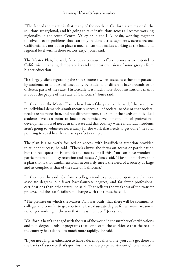"The fact of the matter is that many of the needs in California are regional, the solutions are regional, and it's going to take institutions across all sectors working regionally, in the south Central Valley or in the L.A. basin, working together to solve a set of problems that can only be done across segments, across sectors. California has not put in place a mechanism that makes working at the local and regional level within these sectors easy," Jones said.

The Master Plan, he said, fails today because it offers no means to respond to California's changing demographics and the near exclusion of some groups from higher education.

"It's largely silent regarding the state's interest when access is either not pursued by students, or is pursued unequally by students of different backgrounds or of different parts of the state. Historically it is much more about institutions than it is about the people of the state of California," Jones said.

Furthermore, the Master Plan is based on a false premise, he said, "that response to individual demands simultaneously serves all of societal needs; or that societal needs are no more than, and not different from, the sum of the needs of individual students. We can point to lots of economic development, lots of professional development, lots of needs in this state and this country where individual students aren't going to volunteer necessarily for the work that needs to get done," he said, pointing to rural health care as a perfect example.

The plan is also overly focused on access, with insufficient attention provided to student success, he said. "There's always the focus on access or participation but the real question is, what's the success of all this. You can have wonderful participation and lousy retention and success," Jones said. "I just don't believe that a plan that is that unidimensional necessarily meets the need of a society as large and as complex as that of the state of California."

Furthermore, he said, California colleges tend to produce proportionately more associate degrees, but fewer baccalaureate degrees, and far fewer professional certifications than other states, he said. That reflects the weakness of the transfer process, and the state's failure to change with the times, he said.

"The premise on which the Master Plan was built, that there will be community colleges and transfer to get you to the baccalaureate degree for whatever reason is no longer working in the way that it was intended," Jones said.

"California hasn't changed with the rest of the world in the number of certifications and non-degree kinds of programs that connect to the workforce that the rest of the country has adapted to much more rapidly," he said.

"If you need higher education to have a decent quality of life, you can't get there on the backs of a society that's got this many underprepared students," Jones added.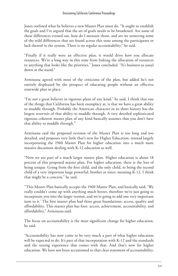Jones outlined what he believes a new Master Plan must do. "It ought to establish the goals and I've argued that the set of goals needs to be broadened. Are some of these differences evened out, how do I measure those, and are we removing some of the wild differences that are found across this state among the participants or lack thereof in the system. There is no regular accountability," he said.

"Finally if it really were an effective plan, it would drive how you allocate resources. We're a long way in this state from linking the allocation of resources to anything that looks like the priorities," Jones concluded. "It's business as usual down at the stand."

Arminana agreed with most of the criticisms of the plan, but added he's not entirely displeased by the prospect of educating people without an effective statewide plan in place.

"I'm not a great believer in rigorous plans of any kind," he said. I think that one of the things that California has been exemplary at, is that we have a great ability to muddle through. Probably the American character in its short history has the largest reservoir of that ability to muddle through. A very detailed sophisticated rigorous coherent master plan of any kind basically assumes that you don't have that ability to muddle through."

Arminana said the proposed revision of the Master Plan is too long and too detailed, and proposes very little that's new for Higher Education, instead largely incorporating the 1960 Master Plan for higher education into a much more massive document dealing with K-12 education as well.

"Now we are part of a much larger master plan. Higher education is about 18 percent of this proposed master plan. For higher education, there is the loss of being unique. Going from the first child, and the only child, to being the second child of a very important large powerful, brother or sister, meaning K-12, I think that might be a concern," he said.

"This Master Plan basically accepts the 1960 Master Plan, and basically said, 'We really couldn't come up with anything much better, therefore we're just going to incorporate you into the larger version, and we're going to add one very important item to it.' The first master plan had three great foundations: access, quality and affordability. This master plan has four: access, achievement, accountability, and affordability," Arminana said.

The focus on accountability is the most significant change for higher education, he said.

"Accountability has now come to be very much a part of what higher education will be expected to do. It's part of that incorporation with K-12 and the standards and the testing experience that comes with that. And that's new for higher education. We have not been accustomed to that clear statement of accountability,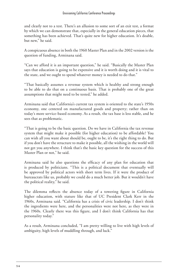and clearly not to a test. There's an allusion to some sort of an exit test, a format by which we can demonstrate that, especially in the general education pieces, that something has been achieved. That's quite new for higher education. It's doable, but new," he said.

A conspicuous absence in both the 1960 Master Plan and in the 2002 version is the question of funding, Arminana said.

"Can we afford it is an important question," he said. "Basically the Master Plan says that education is going to be expensive and it is worth doing and it is vital to the state, and we ought to spend whatever money is needed to do that."

"That basically assumes a revenue system which is healthy and strong enough to be able to do that on a continuous basis. That is probably one of the great assumptions that might need to be tested," he added.

Arminana said that California's current tax system is oriented to the state's 1950s economy, one centered on manufactured goods and property; rather than on today's more service-based economy. As a result, the tax base is less stable, and he sees that as problematic.

"That is going to be the basic question. Do we have in California the tax revenue system that might make it possible (for higher education) to be affordable? You can wish all you want about should be, ought to be, it's the right thing to do. But if you don't have the structure to make it possible, all the wishing in the world will not get you anywhere. I think that's the basic key question for the success of this Master Plan or not," he said.

Arminana said he also questions the efficacy of any plan for education that is produced by politicians. "This is a political document that eventually will be approved by political actors with short term lives. If it were the product of bureaucrats like us, probably we could do a much better job. But it wouldn't have the political reality," he said.

The dilemma reflects the absence today of a towering figure in California higher education, with stature like that of UC President Clark Kerr in the 1960s, Arminana said. "California has a crisis of civic leadership. I don't think the ingredients were here, and the personalities were not here, as they were in the 1960s. Clearly there was this figure, and I don't think California has that personality today."

As a result, Arminana concluded, "I am pretty willing to live with high levels of ambiguity, high levels of muddling through, and luck."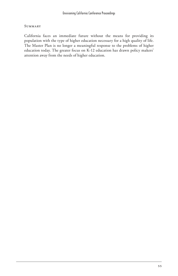#### **SUMMARY**

California faces an immediate future without the means for providing its population with the type of higher education necessary for a high quality of life. The Master Plan is no longer a meaningful response to the problems of higher education today. The greater focus on K-12 education has drawn policy makers' attention away from the needs of higher education.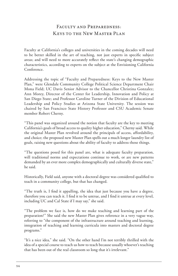### Faculty and Preparedness: Keys to the New Master Plan

Faculty at California's colleges and universities in the coming decades will need to be better skilled in the art of teaching, not just experts in specific subject areas; and will need to more accurately reflect the state's changing demographic characteristics, according to experts on the subject at the Envisioning California Conference.

Addressing the topic of "Faculty and Preparedness: Keys to the New Master Plan," were Glendale Community College Political Science Department Chair Mona Field; UC Davis Senior Advisor to the Chancellor Christina Gonzalez; Ann Morey, Director of the Center for Leadership, Innovation and Policy at San Diego State; and Professor Caroline Turner of the Division of Educational Leadership and Policy Studies at Arizona State University. The session was chaired by San Francisco State History Professor and CSU Academic Senate member Robert Cherny.

"This panel was organized around the notion that faculty are the key to meeting California's goals of broad access to quality higher education," Cherny said. While the original Master Plan revolved around the principals of access, affordability, and choice; the proposed new Master Plan spells out a much longer laundry list of goals, raising new questions about the ability of faculty to address those things.

"The questions posed for this panel are, what is adequate faculty preparation, will traditional norms and expectations continue to work, or are new patterns demanded by an ever more complex demographically and culturally diverse state," he said.

Historically, Field said, anyone with a doctoral degree was considered qualified to teach in a community college, but that has changed.

"The truth is, I find it appalling, the idea that just because you have a degree, therefore you can teach it. I find it to be untrue, and I find it untrue at every level, including UC and Cal State if I may say," she said.

"The problem we face is, how do we make teaching and learning part of the preparation?" She said the new Master Plan gives reference in a very vague way, referring to "the component of the infrastructure around teaching and learning, integration of teaching and learning curricula into masters and doctoral degree programs."

"It's a nice idea," she said. "On the other hand I'm not terribly thrilled with the idea of a special course to teach us how to teach because usually whoever's teaching that has been out of the real classroom so long that it's irrelevant."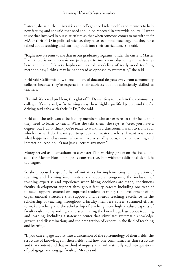Instead, she said, the universities and colleges need role models and mentors to help new faculty, and she said that need should be reflected in statewide policy. "I want to see that involved in our curriculum so that when someone comes to me with their MA or their PhD in political science, they have seen good teaching, and they have talked about teaching and learning, built into their curriculum," she said.

"Right now it seems to me that in our graduate programs, under the current Master Plan, there is no emphasis on pedagogy to my knowledge except smatterings here and there. It's very haphazard, so role modeling of really good teaching methodology, I think may be haphazard as opposed to systematic," she said.

Field said California now turns holders of doctoral degrees away from community colleges because they're experts in their subjects but not sufficiently skilled as teachers.

 "I think it's a real problem, this glut of PhDs wanting to teach in the community colleges. It's very sad, we're turning away these highly qualified people and they're driving taxi cabs with their PhDs," she said.

Field said she tells would-be faculty members who are experts in their fields that they need to learn to teach. What she tells them, she says, is "Gee, you have a degree, but I don't think you're ready to walk in a classroom. I want to train you, which is what I do. I want you to go observe master teachers. I want you to see what happens in classrooms when we involve small groups, inpaired learning and interaction. And no, it's not just a lecture any more."

Morey served as a consultant to a Master Plan working group on the issue, and said the Master Plan language is constructive, but without additional detail, is too vague.

So she proposed a specific list of initiatives for implementing it: integration of teaching and learning into masters and doctoral programs; the inclusion of teaching expertise and experience when hiring decisions are made; continuous faculty development support throughout faculty careers including one year of focused support centered on improved student learning; the development of an organizational structure that supports and rewards teaching excellence in the scholarship of teaching throughout a faculty member's career; sustained efforts to make teaching and the scholarship of teaching more highly valued aspects of faculty culture; expanding and disseminating the knowledge base about teaching and learning, including a statewide center that stimulates systematic knowledge growth and dissemination; and the preparation of experts in the field of teaching and learning.

"If you can engage faculty into a discussion of the epistemology of their fields, the structure of knowledge in their fields, and how one communicates that structure and that content and that method of inquiry, that will naturally lead into questions of pedagogy, and engage faculty," Morey said.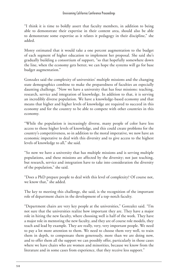"I think it is time to boldly assert that faculty members, in addition to being able to demonstrate their expertise in their content area, should also be able to demonstrate some expertise as it relates it pedagogy in their discipline," she added.

Morey estimated that it would take a one percent augmentation to the budget of each segment of higher education to implement her proposal. She said she's gradually building a consortium of support, "so that hopefully somewhere down the line, when the economy gets better, we can hope the systems will go for base budget augmentation."

Gonzalez said the complexity of universities' multiple missions and the changing state demographics combine to make the preparedness of faculties an especially daunting challenge. "Now we have a university that has four missions: teaching, research, service and integration of knowledge. In addition to that, it is serving an incredibly diverse population. We have a knowledge-based economy and that means that higher and higher levels of knowledge are required to succeed in this economy and for the country to be able to compete with other countries in this economy.

"While the population is increasingly diverse, many people of color have less access to those higher levels of knowledge, and this could create problems for the country's competitiveness, so in addition to the moral imperative, we now have an economic imperative to deal with this diversity and to give access to the highest levels of knowledge to all," she said.

"So now we have a university that has multiple missions and is serving multiple populations, and these missions are affected by the diversity; not just teaching, but research, service and integration have to take into consideration the diversity of the population," she said.

"Does a PhD prepare people to deal with this level of complexity? Of course not, we know that," she added.

The key to meeting this challenge, she said, is the recognition of the important role of department chairs in the development of a top-notch faculty.

"Department chairs are very key people at the universities," Gonzalez said. "I'm not sure that the universities realize how important they are. They have a major role in hiring the new faculty, where choosing well is half of the work. They have a major role in mentoring the new faculty, and they are of course role models, they teach and lead by example. They are really, very, very important people. We need to pay a lot more attention to them. We need to choose them very well, to train them in depth, to compensate them generously, more than we are doing now, and to offer them all the support we can possibly offer, particularly in those cases where we have chairs who are women and minorities, because we know from the literature and in some cases from experience, that they receive less support."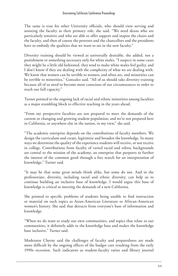The same is true for other University officials, who should view serving and assisting the faculty as their primary role, she said. "We need deans who are particularly sensitive and who are able to offer support and inspire the chairs and the faculty, and then of course the provosts and the chancellors and the presidents have to embody the qualities that we want to see in the new faculty."

Diversity training should be viewed as universally desirable, she added, not a punishment or something necessary only for white males. "I suspect in some cases they might be a little old fashioned, they tend to make white males feel guilty, and I don't know if they are dealing with the complexity of what we are dealing with. We know that women can be terrible to women, and often are, and minorities can be terrible to minorities," Gonzalez said. "All of us should take diversity training because all of us need to become more conscious of our circumstances in order to reach our full capacity."

Turner pointed to the ongoing lack of racial and ethnic minorities among faculties as a major stumbling block to effective teaching in the years ahead.

"From my perspective faculties are not prepared to meet the demands of the current or changing and growing student population; and we're not prepared here in California, or anywhere else in the nation, in my view," she said.

"The academic enterprise depends on the contributions of faculty members. We design the curriculum and create, legitimize and broaden the knowledge. In many ways we determine the quality of the experience students will receive, or not receive in college. Contributions from faculty of varied racial and ethnic backgrounds are central to the mission of the academy, an enterprise that purports to further the interest of the common good through a free search for an interpretation of knowledge," Turner said.

"It may be that some great minds think alike, but some do not. And in the professoriate, diversity, including racial and ethnic diversity, can help us to continue building an inclusive base of knowledge. I would argue this base of knowledge is critical to meeting the demands of a new California.

She pointed to specific problems of students being unable to find instruction or material on such topics as Asian-American Literature or African-American women's history. She said that detracts from everyone's base of information and knowledge.

"When we do want to study our own communities, and topics that relate to our communities, it definitely adds to the knowledge base and makes the knowledge base inclusive," Turner said.

Moderator Cherny said the challenges of faculty and preparedness are made more difficult by the ongoing effects of the budget cuts resulting from the early 1990s recession. Such indicators as student-faculty ratios and library journal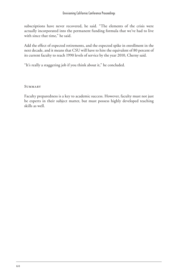subscriptions have never recovered, he said. "The elements of the crisis were actually incorporated into the permanent funding formula that we've had to live with since that time," he said.

Add the effect of expected retirements, and the expected spike in enrollment in the next decade, and it means that CSU will have to hire the equivalent of 80 percent of its current faculty to reach 1990 levels of service by the year 2010, Cherny said.

"It's really a staggering job if you think about it," he concluded.

**SUMMARY** 

Faculty preparedness is a key to academic success. However, faculty must not just be experts in their subject matter, but must possess highly developed teaching skills as well.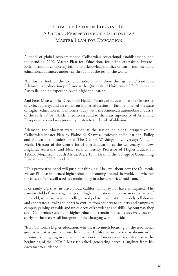# FROM THE OUTSIDE LOOKING IN: A Global Perspective on California's Master Plan for Education

A panel of global scholars ripped California's educational establishment, and the pending 2002 Master Plan for Education, for being excessively inwardlooking and for completely failing to acknowledge, utilize or learn from the rapid educational advances underway throughout the rest of the world.

"California, look at the world outside. That's where the future is," said Bob Adamson, an education professor at the Queensland University of Technology in Australia, and an expert on Asian higher education.

And Peter Maassen, the Director of Hedda, Faculty of Education at the University of Oslo, Norway, and an expert on higher education in Europe, likened the state of higher education in California today with the American automobile industry of the early 1970s, which failed to respond to the clear superiority of Asian and European cars and was promptly beaten to the brink of oblivion.

Adamson and Maassen were joined at the session on global perspectives of California's Master Plan by Elaine El-Khawas, Professor of Educational Policy and Educational Leadership at The George Washington University; V. Lynn Meek, Director of the Centre for Higher Education at the University of New England, Australia; and New York University Professor of Higher Education Teboho Moja, from South Africa. Alice Tom, Dean of the College of Continuing Education at CSUS, moderated.

"This provocative panel will push our thinking, I believe, about how the California Master Plan has influenced higher education planning around the world, and whether the Master Plan is still used as a model today in other countries," said Tom.

It certainly did that, in ways proud Californians may not have anticipated. The panelists told of sweeping changes in higher education underway in other parts of the world, where universities, colleges, and polytechnic institutes widely collaborate and cooperate, allowing students to venture from country to country and campus to campus, gaining valuable and unique sets of knowledge and skills. By contrast, they said, California's systems of higher education remain focused excessively inward, solely on themselves, all but ignoring the changing world outside.

"Isn't California higher education, when it is so much focusing on the traditional governance structure and on the internal California needs and wishes—isn't it to some extent going in the same direction the American car industry was at the beginning of the 1970s?" Maassen asked, generating nervous laughter from his Sacramento audience.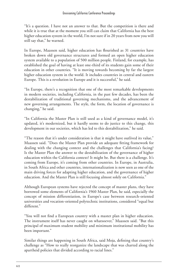"It's a question. I have not an answer to that. But the competition is there and while it is true that at the moment you still can claim that California has the best higher education system in the world, I'm not sure if in 20 years from now you will still say that," he warned.

In Europe, Maassen said, higher education has flourished as 31 countries have broken down old governance structures and formed an open higher education system available to a population of 500 million people. Finland, for example, has established the goal of having at least one-third of its students gain some of their education in other countries. "It is moving towards becoming by far the largest higher education system in the world. It includes countries in central and eastern Europe. This is a revolution in Europe and it is successful," he said.

"In Europe, there's a recognition that one of the most remarkable developments in modern societies, including California, in the past few decades, has been the destabilization of traditional governing mechanisms, and the advancement of new governing arrangements. The style, the form, the location of governance is changing," he said.

"In California the Master Plan is still used as a kind of governance model, it's updated, it's modernized, but it hardly seems to do justice to this change, this development in our societies, which has led to this destabilization," he said.

"The reason that it's under consideration is that it might have outlived its value," Maassen said. "Does the Master Plan provide an adequate fitting framework for dealing with the changing context and the challenges that California's facing? Is the Master Plan the answer to the destabilization of the governance of higher education within the California context? It might be. But there is a challenge. It's coming from Europe, it's coming from other countries. In Europe, in Australia, in South Africa and other countries, internationalization is now seen as one of the main driving forces for adapting higher education, and the governance of higher education. And the Master Plan is still focusing almost solely on California."

Although European systems have rejected the concept of master plans, they have borrowed some elements of California's 1960 Master Plan, he said, especially the concept of mission differentiation, in Europe's case between research-oriented universities and vocation-oriented polytechnic institutions, considered "equal but different."

"You will not find a European country with a master plan in higher education. The instrument itself has never caught on whatsoever," Maassen said. "But this principal of maximum student mobility and minimum institutional mobility has been important."

Similar things are happening in South Africa, said Moja, defining that country's challenge as "How to really reorganize the landscape that was charted along the apartheid policies that divided according to racial lines."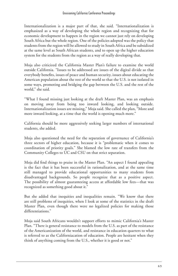Internationalization is a major part of that, she said. "Internationalization is emphasized as a way of developing the whole region and recognizing that for economic development to happen in the region we cannot just rely on developing South Africa but the whole region. One of the policies adopted was the policy that students from the region will be allowed to study in South Africa and be subsidized at the same level as South African students, and to open up the higher education system for the students from the region as a way of really developing that.

Moja also criticized the California Master Plan's failure to examine the world outside California. "Issues to be addressed are issues of the digital divide so that everybody benefits, issues of peace and human security, issues about educating the American population about the rest of the world so that the U.S. is not isolated in some ways, promoting and bridging the gap between the U.S. and the rest of the world," she said.

"What I found missing just looking at the draft Master Plan, was an emphasis on moving away from being too inward looking, and looking outside. Internationalization issues are missing," Moja said. She called the plan, "More and more inward looking, at a time that the world is opening much more."

California should be more aggressively seeking larger numbers of international students, she added.

Moja also questioned the need for the separation of governance of California's three sectors of higher education, because it is "problematic when it comes to coordination of priority goals." She blamed the low rate of transfers from the Community Colleges to UC and CSU on that strict separation.

Moja did find things to praise in the Master Plan. "An aspect I found appealing is the fact that it has been successful in rationalization, and at the same time still managed to provide educational opportunities to many students from disadvantaged backgrounds. So people recognize that as a positive aspect. The possibility of almost guaranteeing access at affordable low fees—that was recognized as something good about it."

But she added that inequities and inequalities remain. "We know that there are still problems of inequities, when I look at some of the statistics in the draft Master Plan, even though there were no legalized policies for making those differentiations."

Moja said South Africans wouldn't support efforts to mimic California's Master Plan. "There is general resistance to models from the U.S. as part of the resistance of the Americanization of the world, and resistance in education quarters to what is referred to as the Californiacation of education. People are hesitant when they think of anything coming from the U.S., whether it is good or not."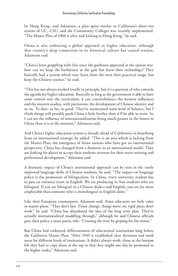In Hong Kong, said Adamson, a plan quite similar to California's three-tier system of UC, CSU, and the Community Colleges was recently implemented. "The Master Plan of 1960 is alive and kicking in Hong Kong," he said.

China is also embracing a global approach to higher education, although that country's deep connection to its historical culture has caused tension, Adamson said.

"China's been grappling with this since the gunboats appeared at the opium war: how can we keep the barbarians at the gate but learn their technology? They basically had a system which was: learn from the west their practical usage, but keep the Chinese essence," he said.

"This has not always worked totally in principle, but it's a question of who controls the agenda for higher education. Basically so long as the government is able to have some control over the curriculum, it can counterbalance the western influences and the western studies, with patriotism, the development of Chinese identity and so on. To date: so far, so good. They've maintained some kind of balance, but I think things will possibly push China a little further than it'll be able to resist. So I can see the influence of internationalization being much greater in the future in China than it is at the moment," Adamson said.

And China's higher education system is already ahead of California's in benefiting from an international strategy, he added. "This is an area which is lacking from the Master Plan; the emergence of Asian nations who have got an international perspective. China has changed from a domestic to an international model. They are looking for places to accept their students overseas for their main training and professional development," Adamson said.

A dramatic impact of China's international approach can be seen in the vastly improved language skills of Chinese students, he said. "The impact on language policy is the promotion of bilingualism. In China, every university student has to pass an entrance exam in English. We are producing in Asia students who are bilingual. If you are bilingual in a Chinese dialect and English, you are far more employable than someone who is monolingual in English alone."

Like their European counterparts, Adamson said, Asian educators see little value in master plans. "They don't last. Times change, things move on, rigid plans don't work," he said. "China has abandoned the idea of the long term plan. They've actually institutionalized muddling through," although he said Chinese officials gave their policy a more poetic title: "Crossing the river by groping for the stones."

But China had embraced differentiation of educational institutions long before the California Master Plan. "After 1949 it established clear divisions and work areas for different levels of institutions. It didn't always work; those at the bottom felt they had to copy those at the top so that they might one day be promoted to the higher ranks," Adamson said.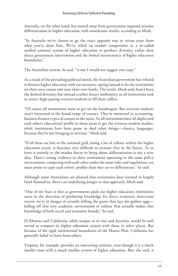Australia, on the other hand, has moved away from government-imposed mission differentiation in higher education, with unwelcome results, according to Meek.

"In Australia we've chosen to go the exact opposite way in recent years from what you've done here. We've relied on market competition in a so-called unified national system of higher education to produce diversity, rather than direct government intervention and the formal maintenance of higher education boundaries."

The Australian system, he said, "is one I would not suggest you copy."

As a result of the prevailing political mood, the Australian government has refused to finance higher education with tax increases, opting instead to let the institutions set their own course and raise their own funds. The result, Meek said, hasn't been the desired diversity, but instead a rather dreary uniformity, as all institutions seek to attract high-paying overseas students to fill their coffers.

"Of course all institutions want to get on the bandwagon. But overseas students aren't interested in the broad range of courses. They're interested in accounting, business finance types of courses in the main. So all institutions have all duplicated each other's educational profile in those areas to get the overseas student market, while institutions have been prone to shed other things—classics, languages, because they're not bringing in revenue," Meek said.

"If all these are lost to the national grid, losing a lot of culture within the higher education sector, it becomes very difficult to recreate that in the future. So to leave it entirely to the market forces to bring about differentiation is not a wise idea. There's strong evidence to show institutions operating in the same policy environment, competing with each other under the same rules and regulations, are more prone to copy each others' profiles than they are to differentiate," he said.

Although some Australians are pleased that universities have learned to largely fund themselves, there's an underlying danger to that approach, Meek said.

"One of my fears is that as governments push our higher education institutions more in the direction of producing knowledge for direct economic short-term return, we're in danger of actually killing the goose that lays the golden eggs killing off that very academic environment or culture that actually makes that knowledge of both social and economic benefit," he said.

El-Khawas said California, while unique in its size and diversity, would be well served to compare its higher education system with those in other places. But because of the rigid institutional boundaries of the Master Plan, California has generally failed to learn from others.

Virginia, for example, provides an interesting contrast, even though it is a much smaller state with a much smaller system of higher education. But, she said, it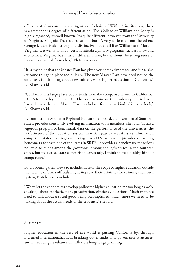offers its students an outstanding array of choices. "With 15 institutions, there is a tremendous degree of differentiation. The College of William and Mary is highly regarded, it's well known. It's quite different, however, from the University of Virginia. Virginia Tech is also strong, but it's very different from the others. George Mason is also strong and distinctive, not at all like William and Mary or Virginia. It is well known for certain interdisciplinary programs such as in law and economics. Virginia has mission differentiation, but without the strong sense of hierarchy that California has," El-Khawas said.

"It is my point that the Master Plan has given you some advantages, and it has also set some things in place too quickly. The new Master Plan now need not be the only basis for thinking about new initiatives for higher education in California," El-Khawas said

"California is a large place but it tends to make comparisons within California: UCLA to Berkeley, CSU to UC. The comparisons are tremendously internal. And I wonder whether the Master Plan has helped foster that kind of interior look," El-Khawas said.

By contrast, the Southern Regional Educational Board, a consortium of Southern states, provides constantly evolving information to its members, she said. "It has a vigorous program of benchmark data on the performance of the universities, the performance of the education system, in which year by year it issues information comparing states, to a regional average, to a U.S. average. It provides a planning benchmark for each one of the states in SREB, it provides a benchmark for serious policy discussions among the governors, among the legislatures in the southern states, but it's a cross-state comparison constantly. I think that's a healthy kind of comparison."

By broadening their views to include more of the scope of higher education outside the state, California officials might improve their priorities for running their own system, El-Khawas concluded.

"We've let the economists develop policy for higher education far too long as we're speaking about marketization, privatization, efficiency questions. Much more we need to talk about a social good being accomplished, much more we need to be talking about the actual needs of the students," she said.

#### **SUMMARY**

Higher education in the rest of the world is passing California by, through increased internationalization, breaking down traditional governance structures, and in reducing its reliance on inflexible long-range planning.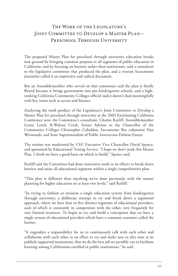# The Work of the Legislature's Joint Committee to Develop a Master Plan— PRESCHOOL THROUGH UNIVERSITY

The proposed Master Plan for preschool through university education breaks new ground by bringing common purpose to all segments of public education in California, and by focusing on learners rather than institutions, said a consultant to the legislative committee that produced the plan, and a veteran Sacramento journalist called it an impressive and radical document.

But an Assemblymember who served on that committee said the plan is fatally flawed because it brings government into pre-kindergarten schools, and a highranking California Community Colleges official said it doesn't deal meaningfully with key issues such as access and finance.

Analyzing the work product of the Legislature's Joint Committee to Develop a Master Plan for preschool through university at the 2002 Envisioning California Conference were the Committee's consultant, Charles Ratliff, Assemblymember Lynne Leach, R-Walnut Creek, Senior Advisor to the Chancellor of the Community Colleges Christopher Cabaldon, Sacramento Bee columnist Dan Weintraub, and State Superintendent of Public Instruction Delaine Eastin.

The session was moderated by CSU Executive Vice-Chancellor David Spence, and sponsored by Educational Testing Service. "I hope we don't junk this Master Plan. I think we have a good basis on which to build," Spence said.

Ratliff said the Committee had done innovative work in its efforts to break down barriers and unite all educational segments within a single comprehensive plan.

"This plan is different than anything we've done previously with the master planning for higher education on at least two levels," said Ratliff.

"In trying to fashion or envision a single education system from kindergarten through university; a deliberate attempt to try and break down a segmental approach, where we have four or five distinct segments of educational providers, each of which is constantly in competition with the other, very frequently for very limited resources. To begin to try and build a conception that we have a single system of educational providers which have a common customer called the learner.

"It engenders a responsibility for us to continuously talk with each other and collaborate with each other in an effort to try and make sure in this state at its publicly supported institutions, that we do the best job we possibly can to facilitate learning among Californians enrolled in public institutions," he said.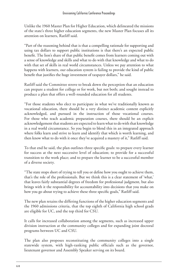Unlike the 1960 Master Plan for Higher Education, which delineated the missions of the state's three higher education segments, the new Master Plan focuses all its attention on learners, Ratliff said.

"Part of the reasoning behind that is that a compelling rationale for supporting and using tax dollars to support public institutions is that there's an expected public benefit. The lion's share of that public benefit comes from learners coming out with a sense of knowledge and skills and what to do with that knowledge and what to do with that set of skills in real world circumstances. Unless we pay attention to what happens with learners, our education system is failing to provide the kind of public benefit that justifies the huge investment of taxpayer dollars," he said.

Ratliff said the Committee strove to break down the perception that an education can prepare a student for college or for work, but not both; and sought instead to produce a plan that offers a well-rounded education for all students.

"For those students who elect to participate in what we've traditionally known as vocational education, there should be a very distinct academic content explicitly acknowledged, and pursued in the instruction of those vocational courses. For those who teach academic preparation courses, there should be an explicit acknowledgement that students are expected to learn what to do with that knowledge in a real world circumstance. So you begin to blend this in an integrated approach where folks learn and strive to learn and identify that which is worth learning, and then know what to do with it once they've acquired a mastery of it," Ratliff said.

To that end he said, the plan outlines three specific goals: to prepare every learner for success at the next successive level of education; to provide for a successful transition to the work place; and to prepare the learner to be a successful member of a diverse society.

"The state stops short of trying to tell you or define how you ought to achieve them, that's the role of the professionals. But we think this is a clear statement of 'what,' that leaves fairly substantial degrees of freedom for professional judgment, but also brings with it the responsibility for accountability into decisions that you make on how you go about trying to achieve these three specific goals," Ratliff said.

The new plan retains the differing functions of the higher education segments and the 1960 admissions criteria, that the top eighth of California high school grads are eligible for UC, and the top third for CSU.

It calls for increased collaboration among the segments, such as increased upper division instruction at the community colleges and for expanding joint doctoral programs between UC and CSU.

The plan also proposes reconstituting the community colleges into a single statewide system, with high-ranking public officials such as the governor, lieutenant governor and Assembly Speaker serving on its board.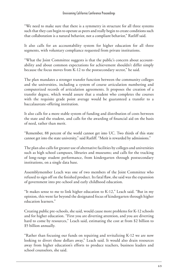"We need to make sure that there is a symmetry in structure for all three systems such that they can begin to operate as peers and really begin to create conditions such that collaboration is a natural behavior, not a compliant behavior," Ratliff said.

It also calls for an accountability system for higher education for all three segments, with voluntary compliance requested from private institutions.

"What the Joint Committee suggests is that the public's concern about accountability and about common expectations for achievement shouldn't differ simply because the focus moves from K-12 to the postsecondary sector," he said.

The plan mandates a stronger transfer function between the community colleges and the universities, including a system of course articulation numbering and computerized records of articulation agreements. It proposes the creation of a transfer degree, which would assure that a student who completes the courses with the requisite grade point average would be guaranteed a transfer to a baccalaureate-offering institution.

It also calls for a more stable system of funding and distribution of costs between the state and the student, and calls for the awarding of financial aid on the basis of need, rather than merit.

"Remember, 88 percent of the world cannot get into UC. Two thirds of this state cannot get into the state university," said Ratliff. "Merit is rewarded by admissions."

The plan also calls for greater use of alternative facilities by colleges and universities such as high school campuses, libraries and museums; and calls for the tracking of long-range student performance, from kindergarten through postsecondary institutions, on a single data base.

Assemblymember Leach was one of two members of the Joint Committee who refused to sign off on the finished product. Its fatal flaw, she said was the expansion of government into pre-school and early childhood education.

"It makes sense to me to link higher education to K-12," Leach said. "But in my opinion, this went far beyond the designated focus of kindergarten through higher education learners."

Creating public pre-schools, she said, would cause more problems for K-12 schools and for higher education. "First you are diverting attention, and you are diverting hard to come by resources," Leach said, estimating the cost at from \$2 billion to \$5 billion annually.

"Rather than focusing our funds on repairing and revitalizing K-12 we are now looking to divert those dollars away," Leach said. It would also drain resources away from higher education's efforts to produce teachers, business leaders and school counselors, she said.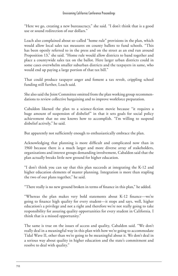"Here we go, creating a new bureaucracy," she said. "I don't think that is a good use or sound redirection of our dollars."

Leach also complained about so-called "home rule" provisions in the plan, which would allow local sales tax measures on county ballots to fund schools. "This has been openly referred to in the press and on the street as an end run around Proposition 13," she said. "Home rule would allow districts to band together and place a countywide sales tax on the ballot. Here larger urban districts could in some cases overwhelm smaller suburban districts and the taxpayers in same, who would end up paying a large portion of that tax bill."

That could produce taxpayer anger and foment a tax revolt, crippling school funding still further, Leach said.

She also said the Joint Committee omitted from the plan working group recommendations to review collective bargaining and to improve workforce preparation.

Cabaldon likened the plan to a science-fiction movie because "it requires a huge amount of suspension of disbelief" in that it sets goals for social policy achievement that no one knows how to accomplish. "I'm willing to suspend disbelief actively," he said.

But apparently not sufficiently enough to enthusiastically embrace the plan.

Acknowledging that planning is more difficult and complicated now than in 1960 because there is a much larger and more diverse array of stakeholders, organizations and interest groups demanding involvement, Cabaldon said that the plan actually breaks little new ground for higher education.

"I don't think you can say that this plan succeeds at integrating the K-12 and higher education elements of master planning. Integration is more than stapling the two of our plans together," he said.

"There really is no new ground broken in terms of finance in this plan," he added.

"Whereas the plan makes very bold statements about K-12 finance—we're going to finance high quality for every student—it stops and says, well, higher education's a privilege and not a right and therefore we're not really going to take responsibility for assuring quality opportunities for every student in California. I think that is a missed opportunity."

The same is true on the issues of access and quality, Cabaldon said. "We don't really deal in a meaningful way in this plan with how we're going to accommodate Tidal Wave II, other than we're going to be meaningful about it. We don't deal in a serious way about quality in higher education and the state's commitment and resolve to deal with quality."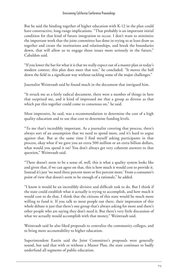But he said the binding together of higher education with K-12 in the plan could have constructive, long-range implications. "That probably is an important initial condition for that kind of future integration to occur. I don't want to minimize the important work that the joint committee has done in trying to at least draw us together and create the institutions and relationships, and break the boundaries down, that will allow us to engage those issues more seriously in the future," Cabaldon said.

"If you lower the bar for what it is that we really expect out of a master plan in today's modern context, this plan does meet that test," he concluded. "It moves the ball down the field in a significant way without tackling some of the major challenges."

Journalist Weintraub said he found much in the document that intrigued him.

"It struck me as a fairly radical document, there were a number of things in here that surprised me, and it kind of impressed me that a group as diverse as that which put this together could come to consensus on," he said.

Most impressive, he said, was a recommendation to determine the cost of a high quality education and to use that cost to determine funding levels.

"To me that's incredibly important. As a journalist covering that process, there's always sort of an assumption that we need to spend more, and it's hard to argue against that. But at the same time I find myself asking participants in that process, okay what if we gave you an extra 500 million or an extra billion dollars, what would you spend it on? You don't always get very coherent answers to that question," Weintraub said.

"There doesn't seem to be a sense of, well, this is what a quality system looks like and given that, if we can agree on that, this is how much it would cost to provide it. Instead it's just 'we need three percent more or five percent more.' From a consumer's point of view that doesn't seem to be enough of a rationale," he added.

"I know it would be an incredibly divisive and difficult task to do. But I think if the state could establish what it actually is trying to accomplish, and how much it would cost to do that, I think that the citizens of this state would be much more willing to fund it. If you talk to most people out there, their impression of this whole debate is just that there's one group that's always asking for more and there's other people who are saying they don't need it. But there's very little discussion of what we actually would accomplish with that money," Weintraub said.

Weintraub said he also liked proposals to centralize the community colleges, and to bring more accountability to higher education.

Superintendent Eastin said the Joint Committee's proposals were generally sound, but said that with or without a Master Plan, the state continues to badly underfund all segments of public education.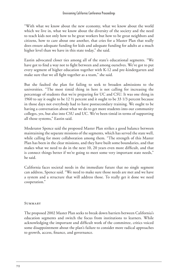"With what we know about the new economy, what we know about the world which we live in, what we know about the diversity of the society and the need to teach kids not only how to be great workers but how to be great neighbors and citizens, how to care about one another, that cries for a Master Plan that really does ensure adequate funding for kids and adequate funding for adults at a much higher level than we have in this state today," she said.

Eastin advocated closer ties among all of the state's educational segments. "We have got to find a way not to fight between and among ourselves. We've got to put every segment of higher education together with K-12 and pre-kindergarten and make sure that we all fight together as a team," she said.

But she faulted the plan for failing to seek to broaden admissions to the universities. "The most timid thing in here is not calling for increasing the percentage of students that we're preparing for UC and CSU. It was one thing in 1960 to say it ought to be 12 1⁄2 percent and it ought to be 33 1/3 percent because in those days not everybody had to have postsecondary training. We ought to be having a conversation about what we do to get more students into our community colleges, yes, but also into CSU and UC. We've been timid in terms of supporting all those systems," Eastin said.

Moderator Spence said the proposed Master Plan strikes a good balance between maintaining the separate missions of the segments, which has served the state well, while calling for more collaboration among them. "The strength of this Master Plan has been in the clear missions, and they have built some boundaries, and that makes what we need to do in the next 10, 20 years even more difficult, and that is connect things better if we're going to meet some very important state needs," he said.

California faces societal needs in the immediate future that no single segment can address, Spence said. "We need to make sure those needs are met and we have a system and a structure that will address those. To really get it done we need cooperation."

#### **SUMMARY**

The proposed 2002 Master Plan seeks to break down barriers between California's education segments and switch the focus from institutions to learners. While acknowledging the important and difficult work of the committee, critics voiced some disappointment about the plan's failure to consider more radical approaches to growth, access, finance, and governance.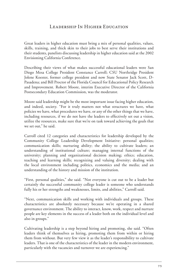## Leadership In Higher Education

Great leaders in higher education must bring a mix of personal qualities, values, skills, training, and thick skin to their jobs to best serve their institutions and their students, panelists discussing leadership in higher education said at the 2002 Envisioning California Conference.

Describing their views of what makes successful educational leaders were San Diego Mesa College President Constance Carroll; CSU Northridge President Jolene Koester, former college president and now State Senator Jack Scott, D-Pasadena; and Bill Proctor of the Florida Council for Educational Policy Research and Improvement. Robert Moore, interim Executive Director of the California Postsecondary Education Commission, was the moderator.

Moore said leadership might be the most important issue facing higher education, and indeed, society. "For it truly matters not what structures we have, what policies we have, what procedures we have, or any of the other things that we have, including resources, if we do not have the leaders to effectively set out a vision, utilize the resources, make sure that we're on task toward achieving the goals that we set out," he said.

Carroll cited 12 categories and characteristics for leadership developed by the Community College Leadership Development Initiative: personal qualities; communication skills; nurturing ability; the ability to cultivate leaders; an understanding of institutional culture; managing internal functions of the university; planning and organizational decision making; ethics; education, teaching and learning skills; recognizing and valuing diversity; dealing with the local environment including politics, economics and the media; and an understanding of the history and mission of the institution.

"First, personal qualities," she said. "Not everyone is cut out to be a leader but certainly the successful community college leader is someone who understands fully his or her strengths and weaknesses, limits, and abilities," Carroll said.

"Next, communication skills and working with individuals and groups. These characteristics are absolutely necessary because we're operating in a shared governance environment. The ability to interact, know, work, respect and nurture people are key elements in the success of a leader both on the individual level and also in groups."

Cultivating leadership is a step beyond hiring and promoting, she said. "Often leaders think of themselves as hiring, promoting them from within or hiring them from without. But very few view it as the leader's responsibility to cultivate leaders. That is one of the characteristics of the leader in the modern environment, particularly with the vacancies and turnover we are experiencing."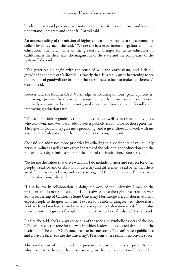Leaders must avoid preconceived notions about institutional culture and learn to understand, integrate and shape it, Carroll said.

An understanding of the mission of higher education, especially at the community college level, is crucial she said. "We are the first experiment in egalitarian higher education." she said. "One of the greatest challenges for us as educators in California is the sheer size, the magnitude of the state and the complexity of the systems," she said.

"The practices all begin with the sense of will and enthusiasm, and I think, growing in the state of California, is exactly that. It is really quite heartening to see that people of goodwill are bringing their resources to bear to make a difference," Carroll said.

Koester said she leads at CSU Northridge by focusing on four specific priorities: improving private fundraising, strengthening the university's connections internally and within the community, making the campus more user friendly, and improving graduation rates.

"Those four priorities guide my time and my energy as well as the team of individuals who work with me. We have made ourselves publicly accountable for those priorities. They give us focus. They give me a grounding, and it gives those who work with me a real sense of what it is that they too need to focus on," she said.

She said she addresses those priorities by adhering to a specific set of values. "My personal values as well as my values in terms of the role of higher education and the role of university administrators in the light of the institution," Koester said.

"So for me the values that drive what it is I do include fairness and respect for other people, a real joy and celebration of diversity and difference, a real belief that there are different ways to learn, and a very strong and fundamental belief in access to higher education," she said.

"I also believe in collaboration in doing the work of the university, I may be the president and I am responsible but I don't always have the right or correct answer. So the leadership of California State University Northridge is a collaborative one. I expect people to disagree with me. I expect to be able to disagree with those that I work with and not have them be nervous or upset. Collaboration is a difficult value to create within a group of people but it's one that I believe firmly in," Koester said.

Finally, she said, she's always conscious of the tone and symbolic aspects of the job. "The leader sets the tone for the way in which leadership is enacted throughout the institution," she said. "One's tone needs to be consistent. You can't have a public face and a private face. You are the university's President; there really is no private space.

The symbolism of the president's presence is also to me a surprise. It isn't who I am, it is the role that I am serving in that is so important," she added.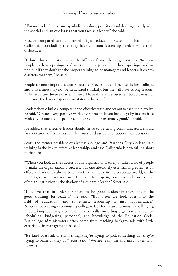"For me leadership is tone, symbolism, values, priorities, and dealing directly with the special and unique issues that you face as a leader," she said.

Proctor compared and contrasted higher education systems in Florida and California, concluding that they have common leadership needs despite their differences.

"I don't think education is much different from other organizations. We have people, we have openings, and we try to move people into those openings, and we find out if they don't get the proper training to be managers and leaders, it creates disasters for them," he said.

People are more important than structure, Proctor added, because the best colleges and universities may not be structured similarly, but they all have strong leaders. "The structure doesn't matter. They all have different structures. Structure is not the issue, the leadership in those states is the issue."

Leaders should build a competent and effective staff, and set out to earn their loyalty, he said. "Create a very positive work environment. If you build loyalty in a positive work environment your people can make you look extremely good," he said.

He added that effective leaders should strive to be strong communicators, should "wander around," be honest on the issues, and use data to support their decisions.

Scott, the former president of Cypress College and Pasadena City College, said training is the key to effective leadership, and said California is now falling short in that area.

"When you look at the success of any organization, surely it takes a lot of people to make an organization a success, but one absolutely essential ingredient is an effective leader. It's always true, whether you look in the corporate world, in the military, or wherever you turn, time and time again, you look and you see that often an institution is the shadow of a dynamic leader," Scott said.

"I believe that in order for there to be good leadership there has to be good training for leaders," he said. "But often we look over into the field of education, and sometimes, leadership is just happenstance." Scott called leading a community college in California an enormously challenging undertaking requiring a complex mix of skills, including organizational ability, scheduling, budgeting, personnel, and knowledge of the Education Code. But college administrators often come from teaching backgrounds with little experience in management, he said.

"It's kind of a sink or swim thing, they're trying to pick something up, they're trying to learn as they go," Scott said. "We are really hit and miss in terms of training."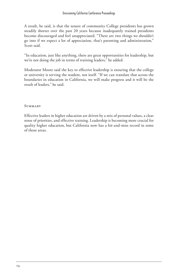A result, he said, is that the tenure of community College presidents has grown steadily shorter over the past 20 years because inadequately trained presidents become discouraged and feel unappreciated. "There are two things we shouldn't go into if we expect a lot of appreciation, that's parenting and administration," Scott said.

"In education, just like anything, there are great opportunities for leadership, but we're not doing the job in terms of training leaders," he added.

Moderator Moore said the key to effective leadership is ensuring that the college or university is serving the student, not itself. "If we can translate that across the boundaries in education in California, we will make progress and it will be the result of leaders," he said.

### **SUMMARY**

Effective leaders in higher education are driven by a mix of personal values, a clear sense of priorities, and effective training. Leadership is becoming more crucial for quality higher education, but California now has a hit-and-miss record in some of those areas.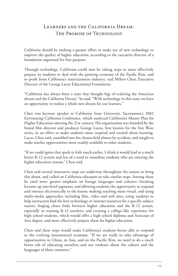# Learners and the California Dream: The Promise of Technology

California should be making a greater effort to make use of new technology to improve the quality of higher education, according to the executive director of a foundation organized for that purpose.

Through technology, California could now be taking steps to more effectively prepare its students to deal with the growing economy of the Pacific Rim, and to profit from California's entertainment industry, said Milton Chen, Executive Director of the George Lucas Educational Foundation.

"California has always been a state that thought big; of realizing the American dream and the California Dream," he said. "With technology in this state, we have an opportunity to realize a whole new dream for our learners."

Chen was keynote speaker at California State University, Sacramento's 2002 Envisioning California Conference, which analyzed California's Master Plan for Higher Education entering the 21st century. His organization was founded by the famed film director and producer George Lucas, best known for the Star Wars series, in an effort to make students more inspired and excited about learning. Lucas, Chen said, stumbled into his chosen field almost by accident, and sought to make similar opportunities more readily available to other students.

"If we could ignite that spark in kids much earlier, I think it would lead to a much better K-12 system and less of a need to remediate students who are entering the higher education system," Chen said.

Chen said several innovative steps are underway throughout the nation to bring this about, and called on California educators to take similar steps. Among those he cited were: greater emphasis on foreign languages and cultures; breaking lectures up into brief segments, and allowing students the opportunity to respond and interact electronically to the lesson; making teaching more visual, and using multi-media approaches including film, video and web sites; using students to help instructors find the best technology or internet resources for a specific subject matter; forging closer links between higher education and the K-12 system, especially in training K-12 teachers; and creating a college-like experience for high school students, which would offer a high school diploma and Associate of Arts degree, and more effectively prepare them for higher education.

Chen said these steps would make California's students better able to respond to the evolving international economy. "If we are really to take advantage of opportunities in China, in Asia, and on the Pacific Rim, we need to do a much better job of educating ourselves and our students about the culture and the languages of these countries."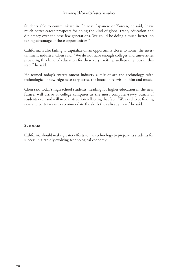Students able to communicate in Chinese, Japanese or Korean, he said, "have much better career prospects for doing the kind of global trade, education and diplomacy over the next few generations. We could be doing a much better job taking advantage of these opportunities."

California is also failing to capitalize on an opportunity closer to home, the entertainment industry, Chen said. "We do not have enough colleges and universities providing this kind of education for these very exciting, well-paying jobs in this state," he said.

He termed today's entertainment industry a mix of art and technology, with technological knowledge necessary across the board in television, film and music.

Chen said today's high school students, heading for higher education in the near future, will arrive at college campuses as the most computer-savvy bunch of students ever, and will need instruction reflecting that fact. "We need to be finding new and better ways to accommodate the skills they already have," he said.

#### **SUMMARY**

California should make greater efforts to use technology to prepare its students for success in a rapidly evolving technological economy.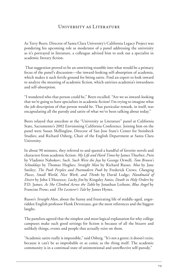## University as Literature

As Terry Beers, Director of Santa Clara University's California Legacy Project was pondering his upcoming role as moderator of a panel addressing the university as it's portrayed in literature, a colleague advised him to seek out a specialist in academic literary fiction.

 That suggestion proved to be an unwitting stumble into what would be a primary focus of the panel's discussion—the inward-looking self-absorption of academia, which makes it such fertile ground for biting satire. Find an expert to look inward to analyze the meaning of academic fiction, which satirizes academia's inwardness and self-absorption.

"I wondered who that person could be," Beers recalled. "Are we so inward-looking that we're going to have specialists in academic fiction? I'm trying to imagine what the job description of that person would be. That particular remark, in itself, was encapsulating all the parody and satire of what we've been talking about today."

Beers relayed that anecdote at the "University as Literature" panel at California State, Sacramento's 2002 Envisioning California Conference. Joining him on the panel were Susan Shillinglaw, Director of San Jose State's Center for Steinbeck Studies; and Richard Osberg, Chair of the English Department at Santa Clara University.

In about 90 minutes, they referred to and quoted a handful of favorite novels and characters from academic fiction: *My Life and Hard Times* by James Thurber; *Pnin*  by Vladimir Nabokov; *Such, Such Were the Joys* by George Orwell; *Tom Brown's Schooldays* by Thomas Hughes; *Straight Man* by Richard Russo; *Moo* by Jane Smiley; *The Pooh Perplex and Postmodern Pooh* by Frederick Crews; *Changing Places, Small World, Nice Work, and Thinks* by David Lodge; *Handmaid of Desire* by John L'Heureux; *Lucky Jim* by Kingsley Amis; *Death in Holy Orders* by P.D. James; *As She Climbed Across the Table* by Jonathan Lethem; *Blue Angel* by Francine Prose; and *The Lecturer's Tale* by James Hynes.

Russo's *Straight Man*, about the funny and frustrating life of middle-aged, angstridden English professor Hank Devereaux, got the most references and the biggest laughs.

The panelists agreed that the simplest and most logical explanation for why college campuses make such good settings for fiction is because of all the bizarre and unlikely things, events and people that actually exist on them.

"Academic satire really is impossible," said Osberg. "It's not a genre; it doesn't exist, because it can't be as improbable or as comic as the thing itself. The academic community is in a continual state of unintentional and unreflective self-parody."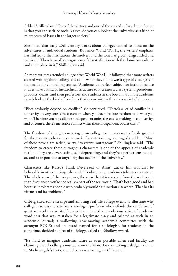Added Shillinglaw: "One of the virtues and one of the appeals of academic fiction is that you can satirize social values. So you can look at the university as a kind of microcosm of issues in the larger society."

She noted that early 20th century works about colleges tended to focus on the adventures of individual students. But since World War II, the writers' emphasis has shifted to the institutions themselves, and the tone has grown disgruntled and satirical. "There's usually a vague sort of dissatisfaction with the dominant culture and their place in it," Shillinglaw said.

As more writers attended college after World War II, it followed that more writers started writing about college, she said. What they found was a type of class system that made for compelling stories. "Academe is a perfect subject for fiction because it does have a kind of hierarchical structure so it creates a class system: presidents, provosts, deans, and then professors and students at the bottom. So most academic novels look at the kind of conflicts that occur within this class society," she said.

"Plots obviously depend on conflict," she continued. "There's a lot of conflict in a university. Its very core is the classroom where you have absolute freedom to do what you want. Therefore you have all these independent units, these cells, making up a university, and of course, there's inevitable conflict when these independent bodies clash."

The freedom of thought encouraged on college campuses creates fertile ground for the eccentric characters that make for entertaining reading, she added. "Most of these novels are satiric, witty, irreverent, outrageous," Shillinglaw said. "The freedom to create these outrageous characters is one of the appeals of academic fiction. They are clever, satiric, self-deprecating, and they're a perfect lens to look at, and take potshots at anything that occurs in the university."

Characters like Russo's Hank Devereaux or Amis' Lucky Jim wouldn't be believable in other settings, she said. "Traditionally, academia tolerates eccentrics. The whole sense of the ivory tower, the sense that it is removed from the real world, that if you teach you're not really a part of the real world. That's both good and bad because it tolerates people who probably wouldn't function elsewhere. That has its virtues and its problems."

Osberg cited some strange and amusing real-life college events to illustrate why college is so easy to satirize: a Michigan professor who defends the vandalism of great art works as art itself; an article intended as an obvious satire of academic wordiness that was mistaken for a legitimate essay and printed as such in an academic journal; a wallowing slow-moving academic committee with the acronym BOGS; and an award named for a sociologist, for students in the sometimes derided subject of sociology, called the Shallow Award.

"It's hard to imagine academic satire as even possible when real faculty are claiming that doodling a mustache on the Mona Lisa, or taking a sledge hammer to Michelangelo's Pieta, should be viewed as high art," he said.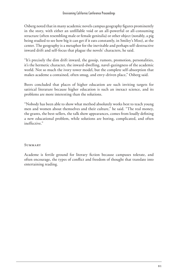Osberg noted that in many academic novels campus geography figures prominently in the story, with either an unfillable void or an all-powerful or all-consuming structure (often resembling male or female genitalia) or other object (notably, a pig being studied to see how big it can get if it eats constantly, in Smiley's Moo), at the center. The geography is a metaphor for the inevitable and perhaps self-destructive inward drift and self-focus that plague the novels' characters, he said.

"It's precisely the dim drift inward, the gossip, rumors, promotion, personalities, it's the hermetic character, the inward-dwelling, navel-gazingness of the academic world. Not so much the ivory tower model, but the complete self-absorption that makes academe a contained, often smug, and envy-driven place," Osberg said.

Beers concluded that places of higher education are such inviting targets for satirical literature because higher education is such an inexact science, and its problems are more interesting than the solutions.

"Nobody has been able to show what method absolutely works best to teach young men and women about themselves and their culture," he said. "The real money, the grants, the best-sellers, the talk show appearances, comes from loudly defining a new educational problem, while solutions are boring, complicated, and often ineffective."

### **SUMMARY**

Academe is fertile ground for literary fiction because campuses tolerate, and often encourage, the types of conflict and freedom of thought that translate into entertaining reading.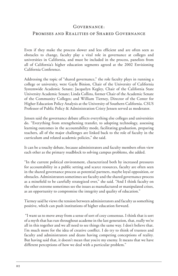## Governance:

## PROMISES AND REALITIES OF SHARED GOVERNANCE

Even if they make the process slower and less efficient and are often seen as obstacles to change, faculty play a vital role in governance at colleges and universities in California, and must be included in the process, panelists from all of California's higher education segments agreed at the 2002 Envisioning California Conference.

Addressing the topic of "shared governance," the role faculty plays in running a college or university, were Gayle Binion, Chair of the University of California Systemwide Academic Senate; Jacquelyn Kegley, Chair of the California State University Academic Senate; Linda Collins, former Chair of the Academic Senate of the Community Colleges; and William Tierney, Director of the Center for Higher Education Policy Analysis at the University of Southern California. CSUS Professor of Public Policy & Administration Cristy Jensen served as moderator.

Jensen said the governance debate affects everything else colleges and universities do. "Everything from strengthening transfer, to adopting technology, assessing learning outcomes in the accountability mode, facilitating graduation, preparing teachers, all of the major challenges are linked back to the role of faculty in the curriculum and related academic policies," she said.

It can be a touchy debate, because administrators and faculty members often view each other as the primary roadblock to solving campus problems, she added.

"In the current political environment, characterized both by increased pressures for accountability in a public setting and scarce resources, faculty are often seen in the shared governance process as potential partners, maybe loyal opposition, or obstacles. Administrators sometimes see faculty and the shared governance process as a minefield to be carefully strategized over," she said. "And I think faculty on the other extreme sometimes see the issues as manufactured or manipulated crises, as an opportunity to compromise the integrity and quality of education."

Tierney said he views the tension between administrators and faculty as something positive, which can push institutions of higher education forward.

 "I want us to move away from a sense of sort of cozy consensus. I think that is sort of a myth that has run throughout academe in the last generation, that, really we're all in this together and we all need to see things the same way. I don't believe that. I'm much more for the idea of creative conflict. I do try to think of trustees and faculty and administrators and deans having competing conceptions of reality. But having said that, it doesn't mean that you're my enemy. It means that we have different perceptions of how we deal with a particular problem."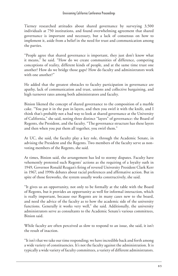Tierney researched attitudes about shared governance by surveying 3,500 individuals at 750 institutions, and found overwhelming agreement that shared governance is important and necessary, but a lack of consensus on how to implement it, aside from a belief in the need for trust and communication among the parties.

"People agree that shared governance is important, they just don't know what it means," he said. "How do we create communities of difference, competing conceptions of reality, different kinds of people, and at the same time trust one another? How do we bridge those gaps? How do faculty and administrators work with one another?"

He added that the greatest obstacles to faculty participation in governance are apathy, lack of communication and trust, unions and collective bargaining, and high turnover rates among both administrators and faculty.

Binion likened the concept of shared governance to the composition of a marble cake. "You put it in the pan in layers, and then you swirl it with the knife, and I think that's probably not a bad way to look at shared governance at the University of California," she said, noting three distinct "layers" of governance: the Board of Regents, the President, and the faculty. "The governance structure has these layers and then when you put them all together, you swirl them."

At UC, she said, the faculty play a key role, through the Academic Senate, in advising the President and the Regents. Two members of the faculty serve as nonvoting members of the Regents, she said.

At times, Binion said, the arrangement has led to stormy disputes. Faculty have vehemently protested such Regents' actions as the requiring of a loyalty oath in 1949, Governor Ronald Reagan's firing of revered University President Clark Kerr in 1967, and 1990s debates about racial preferences and affirmative action. But in spite of those fireworks, the system usually works constructively, she said.

"It gives us an opportunity, not only to be formally at the table with the Board of Regents, but it provides an opportunity as well for informal interaction, which is really important, because our Regents are in many cases new to the board, and need the advice of the faculty as to how the academic side of the university functions. Generally it works very well," she said. Additionally, the university administrators serve as consultants to the Academic Senate's various committees, Binion said.

While faculty are often perceived as slow to respond to an issue, she said, it isn't the result of inaction.

"It isn't that we take our time responding; we have incredible back and forth among a wide variety of constituencies. It's not the faculty against the administration. It is typically a wide variety of faculty committees, a variety of different administrators.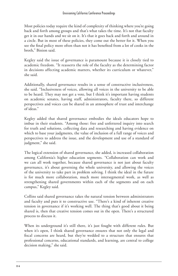Most policies today require the kind of complexity of thinking where you're going back and forth among groups and that's what takes the time. It's not that faculty get it in our hands and we sit on it. It's that it goes back and forth and around in a circle. But in most of these policies, they come out the better for it. When you see the final policy more often than not it has benefited from a lot of cooks in the broth," Binion said.

Kegley said the issue of governance is paramount because it is closely tied to academic freedom. "It reasserts the role of the faculty as the determining factor in decisions affecting academic matters, whether its curriculum or whatever," she said.

Additionally, shared governance results in a sense of constructive inclusiveness, she said. "Inclusiveness of voices, allowing all voices in the university to be able to be heard. They may not get a vote, but I think it's important having students on academic senates, having staff, administrators, faculty there, so different perspectives and voices can be shared in an atmosphere of trust and interchange of ideas."

Kegley added that shared governance embodies the ideals educators hope to imbue in their students. "Among those: free and unfettered inquiry into search for truth and solutions, collecting data and researching and having evidence on which to base your judgments, the value of inclusion of a full range of voices and perspectives to address the issue, and the development and use of a standard of judgment," she said.

The logical extension of shared governance, she added, is increased collaboration among California's higher education segments. "Collaboration can work and we can all work together, because shared governance is not just about faculty governance, it's about governing the whole university, and allowing the voices of the university to take part in problem solving. I think the ideal in the future is for much more collaboration, much more intersegmental work, as well as strengthening shared governments within each of the segments and on each campus," Kegley said.

Collins said shared governance takes the natural tension between administrators and faculty and puts it to constructive use. "There's a kind of inherent creative tension in governance if it's working well. The thing that's good about it being shared is, then that creative tension comes out in the open. There's a structured process to discuss it.

When its underground it's still there, it's just fought with different rules. But when it's open, I think shared governance ensures that not only the legal and fiscal concerns are heard, but they're wedded to a structure that ensures that professional concerns, educational standards, and learning, are central to college decision making," she said.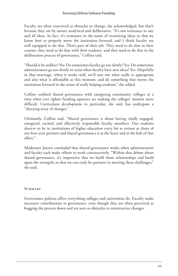Faculty are often conceived as obstacles to change, she acknowledged, but that's because they are by nature analytical and deliberative. "It's not resistance to any and all ideas. In fact, it's resistance in the name of examining ideas so that we know how to properly move the institution forward, and I think faculty are well equipped to do that. That's part of their job. They need to do that in their courses, they need to do that with their students, and they need to do that in the deliberation process of governance," Collins said.

"Should it be endless? No. Do sometimes faculty go too slowly? Yes. Do sometimes administrators go too slowly or resist when faculty have new ideas? Yes. Hopefully in that marriage, when it works well, we'll sort out what really is appropriate and also what is affordable at this moment, and do something that moves the institution forward in the name of really helping students," she added.

Collins credited shared governance with energizing community colleges at a time when ever tighter funding squeezes are making the colleges' mission more difficult. Curriculum development in particular, she said, has undergone a "dizzying array of changes."

Ultimately, Collins said, "Shared governance is about having vitally engaged, energized, excited, and effectively responsible faculty members. Our students deserve to be in institutions of higher education every bit as serious as those of our four-year partners and shared governance is at the heart and at the hub of that effort."

Moderator Jensen concluded that shared governance works when administrators and faculty each make efforts to work constructively. "Within that debate about shared governance, it's imperative that we build those relationships and build upon the strengths so that we can truly be partners in meeting these challenges," she said.

#### **SUMMARY**

Governance policies affect everything colleges and universities do. Faculty make necessary contributions to governance, even though they are often perceived as bogging the process down and are seen as obstacles to constructive changes.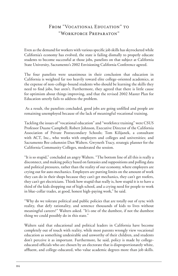# FROM "VOCATIONAL EDUCATION" TO "Workforce Preparaton"

Even as the demand for workers with various specific job skills has skyrocketed while California's economy has evolved, the state is failing dismally to properly educate students to become successful at those jobs, panelists on that subject at California State University, Sacramento's 2002 Envisioning California Conference agreed.

The four panelists were unanimous in their conclusion that education in California is weighted far too heavily toward elite college-oriented academics, at the expense of non-college-bound students who should be learning the skills they need to find jobs, but aren't. Furthermore, they agreed that there is little cause for optimism about things improving, and that the revised 2002 Master Plan for Education utterly fails to address the problem.

 As a result, the panelists concluded, good jobs are going unfilled and people are remaining unemployed because of the lack of meaningful vocational training.

Tackling the issues of "vocational education" and "workforce training" were CSUS Professor Duane Campbell; Robert Johnson, Executive Director of the California Association of Private Postsecondary Schools; Tom Kilijanek, a consultant with ACT, Inc., who works with employers and colleges and universities; and Sacramento Bee columnist Dan Walters. Gwyneth Tracy, strategic planner for the California Community Colleges, moderated the session.

"It is so stupid," concluded an angry Walters. "The bottom line of all this is really a disconnect, and making policy based on fantasies and suppositions and polling data and political pressures, rather than the reality of our economy, where employers are crying out for auto mechanics. Employers are putting limits on the amount of work they can do in their shops because they can't get mechanics, they can't get roofers, they can't get electricians. Think how stupid that really is, how stupid it is to have a third of the kids dropping out of high school, and a crying need for people to work in blue-collar trades, at good, honest high-paying work," he said.

"Why do we tolerate political and public policies that are totally out of sync with reality, that defy rationality, and sentence thousands of kids to lives without meaningful careers?" Walters asked. "It's one of the dumbest, if not the dumbest thing we could possibly do in this state."

Walters said that educational and political leaders in California have become completely out of touch with reality, while most parents wrongly view vocational education as something undesirable and unworthy of their children, and students don't perceive it as important. Furthermore, he said, policy is made by collegeeducated officials who are chosen by an electorate that is disproportionately white, affluent, and college-educated, who value academic degrees more than job skills.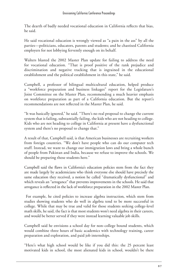The dearth of badly needed vocational education in California reflects that bias, he said.

He said vocational education is wrongly viewed as "a pain in the ass" by all the parties—politicians, educators, parents and students; and he chastised California employers for not lobbying fervently enough on its behalf.

Walters blasted the 2002 Master Plan update for failing to address the need for vocational education. "That is proof positive of the rank prejudice and discrimination and negative tracking that is ingrained in the educational establishment and the political establishment in this state," he said.

Campbell, a professor of bilingual multicultural education, helped produce a "workforce preparation and business linkages" report for the Legislature's Joint Committee on the Master Plan, recommending a much heavier emphasis on workforce preparation as part of a California education. But the report's recommendations are not reflected in the Master Plan, he said.

"It was basically ignored," he said. "There's no real proposal to change the current system that is failing, substantially failing, the kids who are not heading to college. Kids who are not heading to college in California at present have a dysfunctional system and there's no proposal to change that."

A result of that, Campbell said, is that American businesses are recruiting workers from foreign countries. "We don't have people who can do our computer tech stuff. Instead, we want to change our immigration laws and bring a whole bunch of people from Pakistan and India, because we refuse to improve the schools. We should be preparing those students here."

Campbell said the flaws in California's education policies stem from the fact they are made largely by academicians who think everyone else should have precisely the same education they received, a notion he called "dramatically dysfunctional" and which reveals an "arrogance" that prevents improvements in the schools. He said that arrogance is reflected in the lack of workforce preparation in the 2002 Master Plan.

 For example, he cited policies to increase algebra instruction, which stem from studies showing students who do well in algebra tend to be more successful in college. While that may be true and valid for those students seeking college-level math skills, he said, the fact is that most students won't need algebra in their careers, and would be better served if they were instead learning valuable job skills.

Campbell said he envisions a school day for non-college bound students, which would combine three hours of basic academics with technology training, career preparation and exploration, and paid job internships.

"Here's what high school would be like if you did this: the 25 percent least motivated kids in school, the most alienated kids in school, wouldn't be there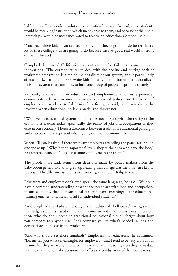half the day. That would revolutionize education," he said. Instead, those students would be receiving instruction which made sense to them, and because of their paid internships, would be more motivated to receive an education, Campbell said.

"You teach these kids advanced technology and they're going to do better than a lot of these college kids are going to do because they've got a real world in front of them," he said.

Campbell denounced California's current system for failing to consider such innovations. "The current refusal to deal with the decline and cutting back of workforce preparation is a major, major failure of our system, and it particularly affects black, Latino and poor white kids. That is a definition of institutionalized racism, a system that continues to hurt one group of people disproportionately."

Kilijanek, a consultant on education and employment, said his experiences demonstrate a huge disconnect between educational policy, and the needs of employers and workers in California. Specifically, he said, employers should be involved when educational policy is made, and they're not.

"We have an educational system today that is not in sync with the reality of the economy as it exists today; specifically, the reality of jobs and occupations as they exist in our economy. There's a disconnect between traditional educational paradigm and employers, who represent what's going on in our economy," he said.

When Kilijanek asked if there were any employers attending the panel session, no one spoke up. "Why is that important? Well, they're the ones who have the jobs," he answered himself. "Let's have some employers in the room."

The problem, he said, stems from decisions made by policy makers from the baby boom generation, who grew up hearing that college was the only sure key to success. "The dilemma is, that is not working any more," Kilijanek said.

Educators and employers don't even speak the same language, he said. "We don't have a common understanding of what the needs are with jobs and occupations in our economy, that is meaningful for employers, meaningful for educational training entities, and meaningful for individual students."

An example of that failure, he said, is the traditional "bell curve" rating system that judges students based on how they compare with their classmates. "Let's tell those who do not succeed in traditional educational circles, forget about how you compare to anyone else. Let's compare you to what's needed in jobs and occupations that exist in the workforce.

"And who should set those standards? Employers, not educators," he continued. "Let me tell you what's meaningful for employers—and I tend to be very crass about this—what they are really interested in is next quarter's earnings. So they want data that they can use to make decisions that affect the productivity of their companies."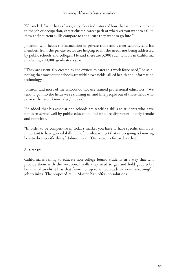Kilijanek defined that as "very, very clear indicators of how that student compares to the job or occupation, career cluster, career path or whatever you want to call it. How their current skills compare to the future they want to go into."

Johnson, who heads the association of private trade and career schools, said his members from the private sector are helping to fill the needs not being addressed by public schools and colleges. He said there are 3,000 such schools in California producing 200,000 graduates a year.

"They are essentially created by the owners to cater to a work force need," he said, noting that most of the schools are within two fields: allied health and information technology.

Johnson said most of the schools do not use trained professional educators. "We tend to go into the fields we're training in, and hire people out of those fields who possess the latest knowledge," he said.

He added that his association's schools are teaching skills to students who have not been served well by public education, and who are disproportionately female and nonwhite.

"In order to be competitive in today's market you have to have specific skills. It's important to have general skills, but often what will get that career going is knowing how to do a specific thing," Johnson said. "Our sector is focused on that."

## **SUMMARY**

California is failing to educate non-college bound students in a way that will provide them with the vocational skills they need to get and hold good jobs, because of an elitist bias that favors college-oriented academics over meaningful job training. The proposed 2002 Master Plan offers no solutions.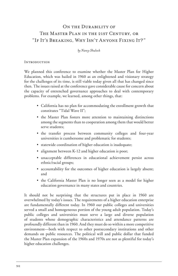# ON THE DURABILITY OF The Master Plan in the 21st Century, or "If It's Breaking, Why Isn't Anyone Fixing It?"

*by Nancy Shulock*

#### **INTRODUCTION**

We planned this conference to examine whether the Master Plan for Higher Education, which was hailed in 1960 as an enlightened and visionary strategy for the challenges of its time, is still viable today given all that has changed since then. The issues raised at the conference gave considerable cause for concern about the capacity of entrenched governance approaches to deal with contemporary problems. For example, we learned, among other things, that:

- California has no plan for accommodating the enrollment growth that constitutes "Tidal Wave II";
- the Master Plan fosters more attention to maintaining distinctions among the segments than to cooperation among them that would better serve students;
- the transfer process between community colleges and four-year universities is cumbersome and problematic for students;
- statewide coordination of higher education is inadequate;
- alignment between K-12 and higher education is poor;
- unacceptable differences in educational achievement persist across ethnic/racial groups;
- accountability for the outcomes of higher education is largely absent; and
- the California Master Plan is no longer seen as a model for higher education governance in many states and countries.

It should not be surprising that the structures put in place in 1960 are overwhelmed by today's issues. The requirements of a higher education enterprise are fundamentally different today. In 1960 our public colleges and universities served a small and homogeneous portion of the young adult population. Today's public colleges and universities must serve a large and diverse population of students whose demographic characteristics and attendance patterns are profoundly different than in 1960. And they must do so within a more competitive environment—both with respect to other postsecondary institutions and other demands on public resources. The political will and public dollar that funded the Master Plan expansion of the 1960s and 1970s are not as plentiful for today's higher education challenges.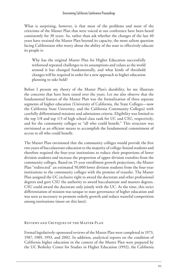What is surprising, however, is that most of the problems and most of the criticisms of the Master Plan that were voiced at our conference have been heard consistently for 30 years. So, rather than ask whether the changes of the last 40 years have strained the Master Plan beyond its capacity, the more salient question facing Californians who worry about the ability of the state to effectively educate its people is:

Why has the original Master Plan for Higher Education successfully withstood repeated challenges to its assumptions and values as the world around it has changed fundamentally, and what kinds of threshold changes will be required in order for a new approach to higher education planning to take hold?

Before I present my theory of the Master Plan's durability, let me illustrate the concerns that have been raised over the years. Let me also observe that the fundamental feature of the Master Plan was the formalization of three separate segments of higher education (University of California, the State Colleges—now the California State University, and the California Community Colleges) with carefully differentiated missions and admissions criteria. Eligibility was limited to the top 1/8 and top 1/3 of high school class rank for UC and CSU, respectively, and for the community colleges to "all who could benefit." This structure was envisioned as an efficient means to accomplish the fundamental commitment of access to all who could benefit.

The Master Plan envisioned that the community colleges would provide the first two years of baccalaureate education to the majority of college-bound students and therefore required the four-year institutions to reduce their proportions of lower division students and increase the proportion of upper division transfers from the community colleges. Based on 15-year enrollment growth projections, the Master Plan "redirected" an estimated 50,000 lower division students from the four-year institutions to the community colleges with the promise of transfer. The Master Plan assigned the UC exclusive right to award the doctorate and other professional degrees and gave CSU the authority to award baccalaureate and masters degrees. CSU could award the doctorate only jointly with the UC. At the time, this strict differentiation of mission was unique to state governance of higher education and was seen as necessary to promote orderly growth and reduce wasteful competition among institutions (more on this later).

### Reviews and Critiques of the Master Plan

Formal legislatively-sponsored reviews of the Master Plan were completed in 1973, 1987, 1989, 1993, and 2002. In addition, analytical reports on the condition of California higher education in the context of the Master Plan were prepared by the UC Berkeley Center for Studies in Higher Education (1992), the California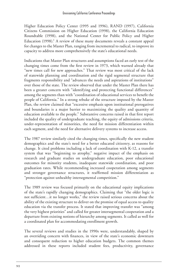Higher Education Policy Center (1995 and 1996), RAND (1997), California Citizens Commission on Higher Education (1998), the California Education Roundtable (1998), and the National Center for Public Policy and Higher Education (1998).<sup>1</sup> A review of these many documents reveals a constant appeal for changes to the Master Plan, ranging from incremental to radical, to improve its capacity to address more comprehensively the state's educational needs.

Indications that Master Plan structures and assumptions faced an early test of the changing times come from the first review in 1973, which warned already that "new times call for new approaches." That review was most critical of the lack of statewide planning and coordination and the rigid segmental structure that fragments responsibility and "advances the needs and aspirations of institutions" over those of the state. The review observed that under the Master Plan there has been a greater concern with "identifying and protecting functional differences" among the segments than with "coordination of educational services to benefit the people of California." In a strong rebuke of the structure imposed by the Master Plan, the review claimed that "excessive emphasis upon institutional prerogatives and boundaries is a major barrier to maximizing the quality and quantity of education available to the people." Substantive concerns raised in that first report included the quality of undergraduate teaching, the equity of admissions criteria, under-representation of minorities, the need for mission differentiation within each segment, and the need for alternative delivery systems to increase access.

The 1987 review similarly cited the changing times, specifically the new student demographics and the state's need for a better educated citizenry, as reasons for change. It cited problems including a lack of coordination with K-12, a transfer system that was "beginning to atrophy," negative impact of the emphasis on research and graduate studies on undergraduate education, poor educational outcomes for minority students, inadequate statewide coordination, and poor graduation rates. While recommending increased cooperation among segments and stronger governance structures, it reaffirmed mission differentiation as "protection against unhealthy intersegmental competition."

The 1989 review was focused primarily on the educational equity implications of the state's rapidly changing demographics. Claiming that "the older logic is not sufficient…it no longer works," the review raised serious concerns about the ability of the existing structure to deliver on the promise of equal access to quality education via the transfer process. It stated that improving transfer was "among the very highest priorities" and called for greater intersegmental cooperation and a departure from existing notions of hierarchy among segments. It called as well for a coordinated plan for accommodating enrollment growth.

The several reviews and studies in the 1990s were, understandably, shaped by an overriding concern with finances, in view of the state's economic downturn and consequent reduction to higher education budgets. The common themes addressed in these reports included student fees, productivity, governance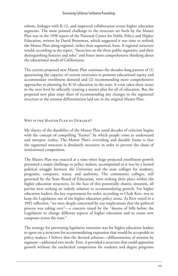reform, linkages with K-12, and improved collaboration across higher education segments. The most pointed challenge to the structure set forth by the Master Plan was in the 1998 report of the National Center for Public Policy and Higher Education, written by David Breneman, which suggested it was time to rethink the Master Plan along regional, rather than segmental, lines. A regional structure would, according to the report, "focus less on the three public segments, and their distinguishing features and roles" and foster more comprehensive thinking about the educational needs of Californians.

The current proposed new Master Plan continues the decades-long pattern of (1) questioning the capacity of current structures to promote educational equity and accommodate enrollment demand and (2) recommending more comprehensive approaches to planning for K-16 education in the state. It even takes these issues to the next level by officially creating a master plan for all of education. But the proposed new plan stops short of recommending any changes to the segmental structure or the mission differentiation laid out in the original Master Plan.

WHY IS THE MASTER PLAN SO DURABLE?

My theory of the durability of the Master Plan amid decades of criticism begins with the concept of compelling "frames" by which people come to understand and interpret reality. The Master Plan's overriding and durable frame is that the segmental structure is absolutely necessary in order to prevent the chaos of institutional competition.

The Master Plan was enacted at a time when huge projected enrollment growth presented a major challenge to policy makers, accompanied as it was by a heated political struggle between the University and the state colleges for students, programs, campuses, status, and authority. The community colleges, still governed by the State Board of Education, were seeking their place within the higher education structures. In the face of this potentially chaotic situation, all parties were seeking an orderly solution to accommodating growth. For higher education leaders, the key requirement for order, according to Clark Kerr, was to keep the Legislature out of the higher education policy arena. As Kerr noted in a 1992 reflection, "we were deeply concerned by any implications that the political process was taking over"—a concern raised by the "dozens of bills before the Legislature to change different aspects of higher education and to create new campuses across the state."

The strategy for preventing legislative intrusion was for higher education leaders to agree on a structure for accommodating expansion that would be acceptable to policy makers. I believe that the devised solution—differentiation of mission by segment—addressed two needs. First, it provided a structure that could apportion growth without the unchecked competition for students and degree programs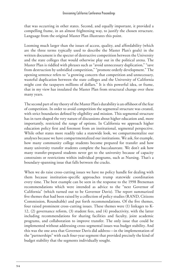that was occurring in other states. Second, and equally important, it provided a compelling frame, in an almost frightening way, to justify the chosen structure. Language from the original Master Plan illustrates this point.

Looming much larger than the issues of access, quality, and affordability (which are the three terms typically used to describe the Master Plan's goals) in the written document is the specter of destructive competition between the University and the state colleges that would otherwise play out in the political arena. The Master Plan is riddled with phrases such as "avoid unnecessary duplication," "save from destruction by unbridled competition," "promote orderly development." The opening sentence refers to "a growing concern that competition and unnecessary, wasteful duplication between the state colleges and the University of California might cost the taxpayers millions of dollars." It is this powerful idea, or frame, that in my view has insulated the Master Plan from structural change over these many years.

The second part of my theory of the Master Plan's durability is an offshoot of the fear of competition. In order to avoid competition the segmental structure was created, with strict boundaries defined by eligibility and mission. This segmental structure has in turn shaped the very nature of discussions about higher education and, more importantly, restricted the range of options. In California we approach higher education policy first and foremost from an institutional, segmental perspective. While other states more readily take a statewide look, we compartmentalize our analyses because we have compartmentalized our institutions. We ask, for example, how many community college students become prepared for transfer and how many university transfer students complete the baccalaureate. We don't ask how many transfer-prepared students never get to the university because of capacity constraints or restrictions within individual programs, such as Nursing. That's a boundary-spanning issue that falls between the cracks.

When we do raise cross-cutting issues we have no policy handle for dealing with them because institution-specific approaches trump statewide coordination every time. The best example can be seen in the response to the 1998 Breneman recommendations which were intended as advice to the "next Governor of California" (which turned out to be Governor Davis). The report summarized five themes that had been raised by a collection of policy studies (RAND, Citizens Commission, Roundtable) and put forth recommendations. Of the five themes, four raised prominent cross-cutting issues. These themes were (1) linkages to K-12, (2) governance reform, (3) student fees, and (4) productivity, with the latter including recommendations for sharing facilities and faculty, joint academic programs, and collaboration to improve transfer. The only issue that could be implemented without addressing cross-segmental issues was budget stability. And this was the one area that Governor Davis did address—in the implementation of the "partnerships" with each four-year segment that provided precisely the kind of budget stability that the segments individually sought.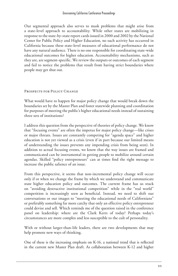Our segmental approach also serves to mask problems that might arise from a state-level approach to accountability. While other states are mobilizing in response to the state-by-state report cards issued in 2000 and 2002 by the National Center for Public Policy and Higher Education, no such activity has occurred in California because these state-level measures of educational performance do not have any natural audience. There is no one responsible for coordinating state-wide educational outcomes for higher education. Accountability mechanisms, such as they are, are segment-specific. We review the outputs or outcomes of each segment and fail to notice the problems that result from having strict boundaries where people may get shut out.

#### PROSPECTS FOR POLICY CHANGE

What would have to happen for major policy change that would break down the boundaries set by the Master Plan and foster statewide planning and coordination for purposes of meeting the public's higher educational needs instead of sustaining three sets of institutions?

I address this question from the perspective of theories of policy change. We know that "focusing events" are often the impetus for major policy change—like crises or major threats. Issues are constantly competing for "agenda space" and higher education is not yet viewed as a crisis (even if in part because our limited means of understanding the issues prevents any impending crisis from being seen). In addition to actual focusing events, we know that the way issues are framed and communicated can be instrumental in getting people to mobilize around certain agendas. Skilled "policy entrepreneurs" can at times find the right message to increase the public salience of an issue.

From this perspective, it seems that non-incremental policy change will occur only if or when we change the frame by which we understand and communicate state higher education policy and outcomes. The current frame has us stuck on "avoiding destructive institutional competition" while in the "real world" competition is increasingly seen as beneficial. Instead, we need to shift our conversations or our images to "meeting the educational needs of Californians" or preferably something far more catchy that only an effective policy entrepreneur could devise and sell. Which reminds me of the question raised in the conference panel on leadership: where are the Clark Kerrs of today? Perhaps today's circumstances are more complex and less susceptible to the cult of personality.

With or without larger-than-life leaders, there are two developments that may help promote new ways of thinking.

One of these is the increasing emphasis on K-16, a national trend that is reflected in the current new Master Plan draft. As collaboration between K-12 and higher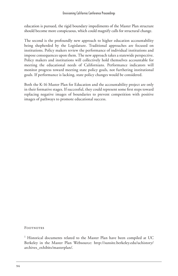education is pursued, the rigid boundary impediments of the Master Plan structure should become more conspicuous, which could magnify calls for structural change.

The second is the profoundly new approach to higher education accountability being shepherded by the Legislature. Traditional approaches are focused on institutions. Policy makers review the performance of individual institutions and impose consequences upon them. The new approach takes a statewide perspective. Policy makers and institutions will collectively hold themselves accountable for meeting the educational needs of Californians. Performance indicators will monitor progress toward meeting state policy goals, not furthering institutional goals. If performance is lacking, state policy changes would be considered.

Both the K-16 Master Plan for Education and the accountability project are only in their formative stages. If successful, they could represent some first steps toward replacing negative images of boundaries to prevent competition with positive images of pathways to promote educational success.

**FOOTNOTES** 

<sup>1</sup> Historical documents related to the Master Plan have been compiled at UC Berkeley in the Master Plan Websource: http://sunsite.berkeley.edu/uchistory/ archives\_exhibits/masterplan/.